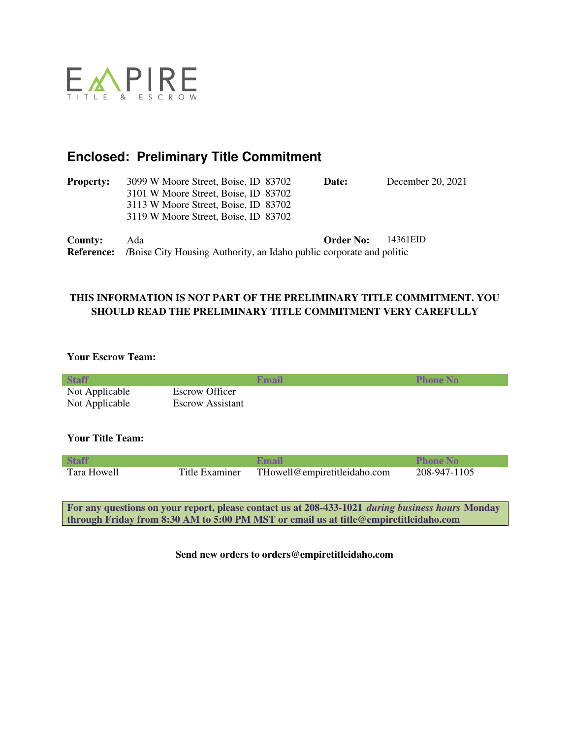

# **Enclosed: Preliminary Title Commitment**

| <b>Property:</b>  | 3099 W Moore Street, Boise, ID 83702                                 | Date:            | December 20, 2021 |
|-------------------|----------------------------------------------------------------------|------------------|-------------------|
|                   | 3101 W Moore Street, Boise, ID 83702                                 |                  |                   |
|                   | 3113 W Moore Street, Boise, ID 83702                                 |                  |                   |
|                   | 3119 W Moore Street, Boise, ID 83702                                 |                  |                   |
| County:           | Ada                                                                  | <b>Order No:</b> | 14361EID          |
| <b>Reference:</b> | /Boise City Housing Authority, an Idaho public corporate and politic |                  |                   |

### **THIS INFORMATION IS NOT PART OF THE PRELIMINARY TITLE COMMITMENT. YOU SHOULD READ THE PRELIMINARY TITLE COMMITMENT VERY CAREFULLY**

### **Your Escrow Team:**

| <b>Staff</b>                                                                                    |                         | Email                        | <b>Phone No</b> |
|-------------------------------------------------------------------------------------------------|-------------------------|------------------------------|-----------------|
| Not Applicable                                                                                  | Escrow Officer          |                              |                 |
| Not Applicable                                                                                  | <b>Escrow Assistant</b> |                              |                 |
|                                                                                                 |                         |                              |                 |
|                                                                                                 |                         |                              |                 |
| <b>Your Title Team:</b>                                                                         |                         |                              |                 |
|                                                                                                 |                         |                              |                 |
| <b>Staff</b>                                                                                    |                         | Email                        | <b>Phone No</b> |
| Tara Howell                                                                                     | Title Examiner          | THowell@empiretitleidaho.com | 208-947-1105    |
|                                                                                                 |                         |                              |                 |
|                                                                                                 |                         |                              |                 |
| For any questions on your report places cantact us of 200 422 1021 during business hours Mondoy |                         |                              |                 |

**For any questions on your report, please contact us at 208-433-1021** *during business hours* **Monday through Friday from 8:30 AM to 5:00 PM MST or email us at title@empiretitleidaho.com**

**Send new orders to orders@empiretitleidaho.com**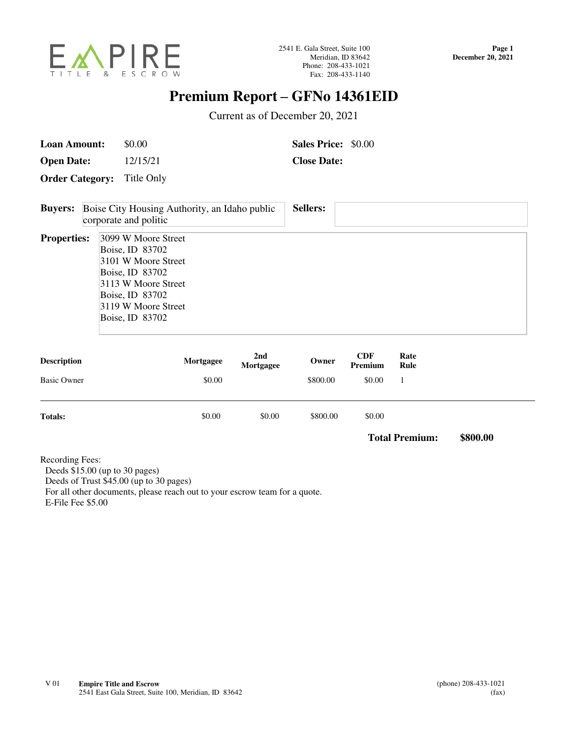

# **Premium Report – GFNo 14361EID**

Current as of December 20, 2021

| <b>Loan Amount:</b> | \$0.00 | <b>Sales Price: \$0.00</b> |  |
|---------------------|--------|----------------------------|--|
|                     |        |                            |  |

**Open Date:** 12/15/21 **Close Date:** 

**Order Category:** Title Only

| <b>Buyers:</b>     | <b>Sellers:</b><br>Boise City Housing Authority, an Idaho public<br>corporate and politic                                                                            |
|--------------------|----------------------------------------------------------------------------------------------------------------------------------------------------------------------|
| <b>Properties:</b> | 3099 W Moore Street<br>Boise, ID 83702<br>3101 W Moore Street<br>Boise, ID 83702<br>3113 W Moore Street<br>Boise, ID 83702<br>3119 W Moore Street<br>Boise, ID 83702 |

| <b>Description</b> | Mortgagee | 2nd<br>Mortgagee | Owner    | <b>CDF</b><br>Premium | Rate<br>Rule |
|--------------------|-----------|------------------|----------|-----------------------|--------------|
| <b>Basic Owner</b> | \$0.00    |                  | \$800.00 | \$0.00                |              |
| <b>Totals:</b>     | \$0.00    | \$0.00           | \$800.00 | \$0.00                |              |

**Total Premium: \$800.00**

Recording Fees: Deeds \$15.00 (up to 30 pages) Deeds of Trust \$45.00 (up to 30 pages) For all other documents, please reach out to your escrow team for a quote. E-File Fee \$5.00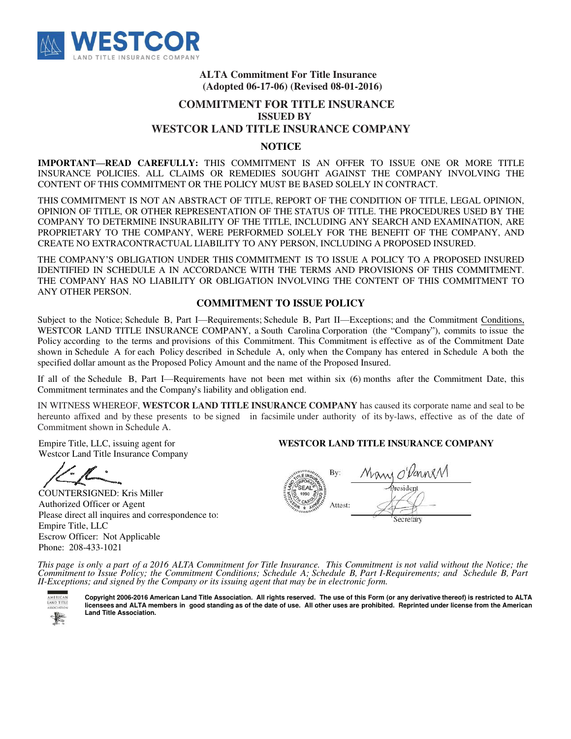

#### **ALTA Commitment For Title Insurance (Adopted 06-17-06) (Revised 08-01-2016)**

### **COMMITMENT FOR TITLE INSURANCE ISSUED BY WESTCOR LAND TITLE INSURANCE COMPANY**

#### **NOTICE**

**IMPORTANT—READ CAREFULLY:** THIS COMMITMENT IS AN OFFER TO ISSUE ONE OR MORE TITLE INSURANCE POLICIES. ALL CLAIMS OR REMEDIES SOUGHT AGAINST THE COMPANY INVOLVING THE CONTENT OF THIS COMMITMENT OR THE POLICY MUST BE BASED SOLELY IN CONTRACT.

THIS COMMITMENT IS NOT AN ABSTRACT OF TITLE, REPORT OF THE CONDITION OF TITLE, LEGAL OPINION, OPINION OF TITLE, OR OTHER REPRESENTATION OF THE STATUS OF TITLE. THE PROCEDURES USED BY THE COMPANY TO DETERMINE INSURABILITY OF THE TITLE, INCLUDING ANY SEARCH AND EXAMINATION, ARE PROPRIETARY TO THE COMPANY, WERE PERFORMED SOLELY FOR THE BENEFIT OF THE COMPANY, AND CREATE NO EXTRACONTRACTUAL LIABILITY TO ANY PERSON, INCLUDING A PROPOSED INSURED.

THE COMPANY'S OBLIGATION UNDER THIS COMMITMENT IS TO ISSUE A POLICY TO A PROPOSED INSURED IDENTIFIED IN SCHEDULE A IN ACCORDANCE WITH THE TERMS AND PROVISIONS OF THIS COMMITMENT. THE COMPANY HAS NO LIABILITY OR OBLIGATION INVOLVING THE CONTENT OF THIS COMMITMENT TO ANY OTHER PERSON.

#### **COMMITMENT TO ISSUE POLICY**

Subject to the Notice; Schedule B, Part I—Requirements; Schedule B, Part II—Exceptions; and the Commitment Conditions, WESTCOR LAND TITLE INSURANCE COMPANY, a South Carolina Corporation (the "Company"), commits to issue the Policy according to the terms and provisions of this Commitment. This Commitment is effective as of the Commitment Date shown in Schedule A for each Policy described in Schedule A, only when the Company has entered in Schedule A both the specified dollar amount as the Proposed Policy Amount and the name of the Proposed Insured.

If all of the Schedule B, Part I—Requirements have not been met within six (6) months after the Commitment Date, this Commitment terminates and the Company's liability and obligation end.

IN WITNESS WHEREOF, **WESTCOR LAND TITLE INSURANCE COMPANY** has caused its corporate name and seal to be hereunto affixed and by these presents to be signed in facsimile under authority of its by-laws, effective as of the date of Commitment shown in Schedule A.

Empire Title, LLC, issuing agent for Westcor Land Title Insurance Company

COUNTERSIGNED: Kris Miller Authorized Officer or Agent Please direct all inquires and correspondence to: Empire Title, LLC Escrow Officer: Not Applicable Phone: 208-433-1021

#### **WESTCOR LAND TITLE INSURANCE COMPANY**

By: Attest: Secretary

*This page is only a part of a 2016 ALTA Commitment for Title Insurance. This Commitment is not valid without the Notice; the Commitment to Issue Policy; the Commitment Conditions; Schedule A; Schedule B, Part I-Requirements; and Schedule B, Part II-Exceptions; and signed by the Company or its issuing agent that may be in electronic form.*



**Copyright 2006-2016 American Land Title Association. All rights reserved. The use of this Form (or any derivative thereof) is restricted to ALTA licensees and ALTA members in good standing as of the date of use. All other uses are prohibited. Reprinted under license from the American Land Title Association.**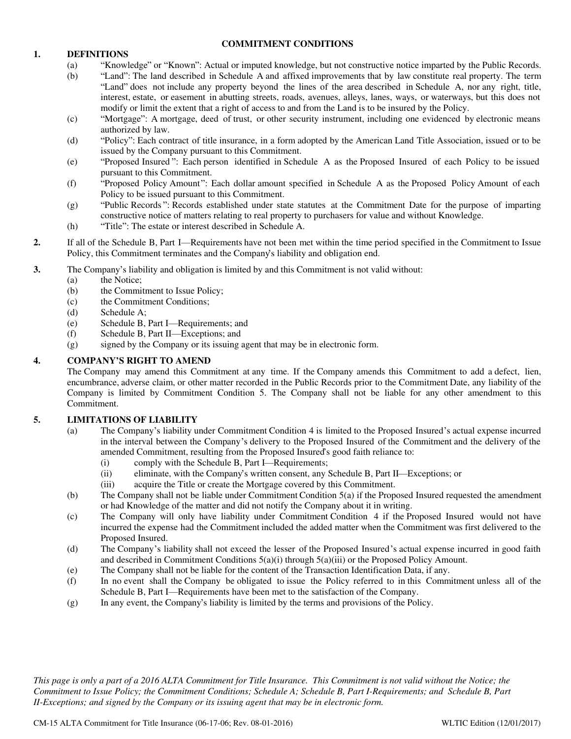#### 1. **DEFINITIONS**

#### **COMMITMENT CONDITIONS**

- (a) "Knowledge" or "Known": Actual or imputed knowledge, but not constructive notice imparted by the Public Records.
- (b) "Land": The land described in Schedule A and affixed improvements that by law constitute real property. The term "Land" does not include any property beyond the lines of the area described in Schedule A, nor any right, title, interest, estate, or easement in abutting streets, roads, avenues, alleys, lanes, ways, or waterways, but this does not modify or limit the extent that a right of access to and from the Land is to be insured by the Policy.
- (c) "Mortgage": A mortgage, deed of trust, or other security instrument, including one evidenced by electronic means authorized by law.
- (d) "Policy": Each contract of title insurance, in a form adopted by the American Land Title Association, issued or to be issued by the Company pursuant to this Commitment.
- "Proposed Insured ": Each person identified in Schedule A as the Proposed Insured of each Policy to be issued(e) pursuant to this Commitment.
- "Proposed Policy Amount": Each dollar amount specified in Schedule A as the Proposed Policy Amount of each(f) Policy to be issued pursuant to this Commitment.
- "Public Records ": Records established under state statutes at the Commitment Date for the purpose of imparting(g) constructive notice of matters relating to real property to purchasers for value and without Knowledge.
- (h) "Title": The estate or interest described in Schedule A.
- **2.** If all of the Schedule B, Part I—Requirements have not been met within the time period specified in the Commitment to Issue Policy, this Commitment terminates and the Company's liability and obligation end.
- **3.** The Company's liability and obligation is limited by and this Commitment is not valid without:
	- (a) the Notice;
	- (b) the Commitment to Issue Policy;
	- (c) the Commitment Conditions;
	- (d) Schedule A;
	- (e) Schedule B, Part I—Requirements; and
	- (f) Schedule B, Part II—Exceptions; and
	- (g) signed by the Company or its issuing agent that may be in electronic form.

#### **4. COMPANY'S RIGHT TO AMEND**

The Company may amend this Commitment at any time. If the Company amends this Commitment to add a defect, lien, encumbrance, adverse claim, or other matter recorded in the Public Records prior to the Commitment Date, any liability of the Company is limited by Commitment Condition 5. The Company shall not be liable for any other amendment to this Commitment.

#### **5. LIMITATIONS OF LIABILITY**

- (a) The Company's liability under Commitment Condition 4 is limited to the Proposed Insured's actual expense incurred in the interval between the Company's delivery to the Proposed Insured of the Commitment and the delivery of the amended Commitment, resulting from the Proposed Insured's good faith reliance to:
	- (i) comply with the Schedule B, Part I—Requirements;
	- (ii) eliminate, with the Company's written consent, any Schedule B, Part II—Exceptions; or
	- (iii) acquire the Title or create the Mortgage covered by this Commitment.
- (b) The Company shall not be liable under Commitment Condition 5(a) if the Proposed Insured requested the amendment or had Knowledge of the matter and did not notify the Company about it in writing.
- (c) The Company will only have liability under Commitment Condition 4 if the Proposed Insured would not have incurred the expense had the Commitment included the added matter when the Commitment was first delivered to the Proposed Insured.
- (d) The Company's liability shall not exceed the lesser of the Proposed Insured's actual expense incurred in good faith and described in Commitment Conditions  $5(a)(i)$  through  $5(a)(iii)$  or the Proposed Policy Amount.
- (e) The Company shall not be liable for the content of the Transaction Identification Data, if any.
- (f) In no event shall the Company be obligated to issue the Policy referred to in this Commitment unless all of the Schedule B, Part I—Requirements have been met to the satisfaction of the Company.
- (g) In any event, the Company's liability is limited by the terms and provisions of the Policy.

*This page is only a part of a 2016 ALTA Commitment for Title Insurance. This Commitment is not valid without the Notice; the Commitment to Issue Policy; the Commitment Conditions; Schedule A; Schedule B, Part I-Requirements; and Schedule B, Part II-Exceptions; and signed by the Company or its issuing agent that may be in electronic form.*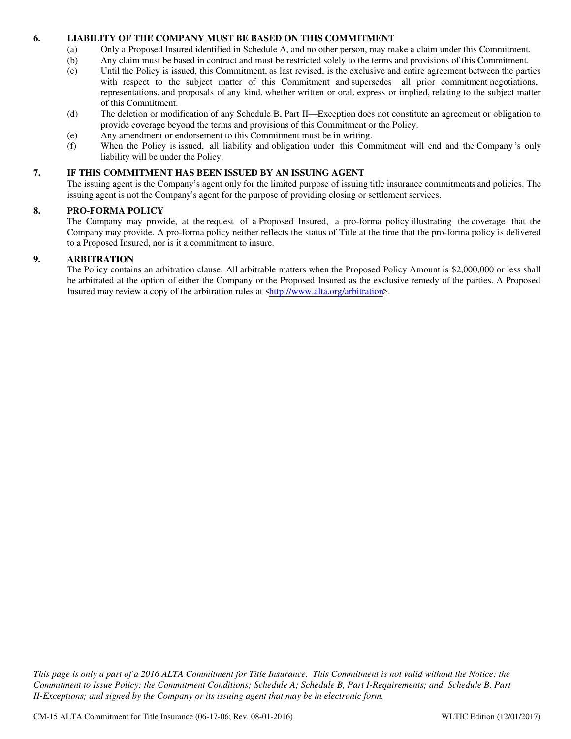#### **6. LIABILITY OF THE COMPANY MUST BE BASED ON THIS COMMITMENT**

- (a) Only a Proposed Insured identified in Schedule A, and no other person, may make a claim under this Commitment.
- (b) Any claim must be based in contract and must be restricted solely to the terms and provisions of this Commitment.
- (c) Until the Policy is issued, this Commitment, as last revised, is the exclusive and entire agreement between the parties with respect to the subject matter of this Commitment and supersedes all prior commitment negotiations, representations, and proposals of any kind, whether written or oral, express or implied, relating to the subject matter of this Commitment.
- (d) The deletion or modification of any Schedule B, Part II—Exception does not constitute an agreement or obligation to provide coverage beyond the terms and provisions of this Commitment or the Policy.
- (e) Any amendment or endorsement to this Commitment must be in writing.
- (f) When the Policy is issued, all liability and obligation under this Commitment will end and the Company 's only liability will be under the Policy.

#### **7. IF THIS COMMITMENT HAS BEEN ISSUED BY AN ISSUING AGENT**

The issuing agent is the Company's agent only for the limited purpose of issuing title insurance commitments and policies. The issuing agent is not the Company's agent for the purpose of providing closing or settlement services.

#### **8. PRO-FORMA POLICY**

The Company may provide, at the request of a Proposed Insured, a pro-forma policy illustrating the coverage that the Company may provide. A pro-forma policy neither reflects the status of Title at the time that the pro-forma policy is delivered to a Proposed Insured, nor is it a commitment to insure.

#### **9. ARBITRATION**

The Policy contains an arbitration clause. All arbitrable matters when the Proposed Policy Amount is \$2,000,000 or less shall be arbitrated at the option of either the Company or the Proposed Insured as the exclusive remedy of the parties. A Proposed Insured may review a copy of the arbitration rules at  $\frac{\text{http://www.alta.org/arbitration}}{\text{http://www.alta.org/arbitration}}$ .

*This page is only a part of a 2016 ALTA Commitment for Title Insurance. This Commitment is not valid without the Notice; the Commitment to Issue Policy; the Commitment Conditions; Schedule A; Schedule B, Part I-Requirements; and Schedule B, Part II-Exceptions; and signed by the Company or its issuing agent that may be in electronic form.*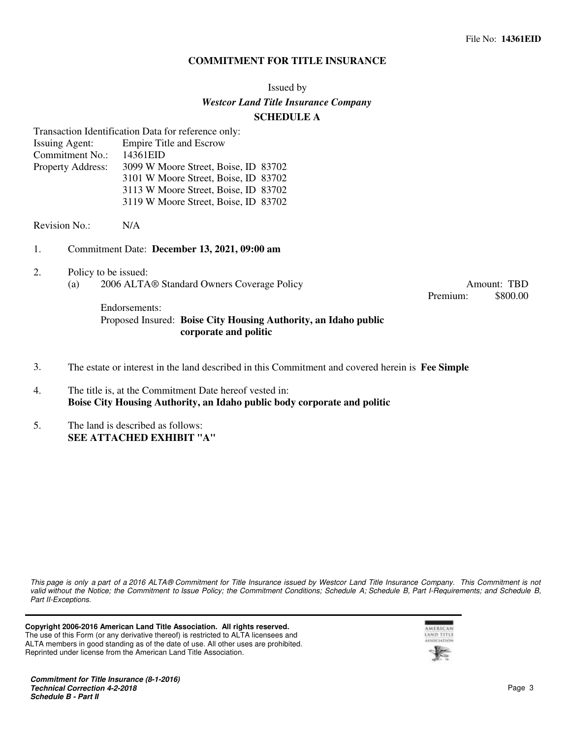#### **COMMITMENT FOR TITLE INSURANCE**

#### Issued by

#### *Westcor Land Title Insurance Company*

#### **SCHEDULE A**

Transaction Identification Data for reference only:

| <b>Issuing Agent:</b>    | <b>Empire Title and Escrow</b>       |  |
|--------------------------|--------------------------------------|--|
| Commitment No.:          | 14361EID                             |  |
| <b>Property Address:</b> | 3099 W Moore Street, Boise, ID 83702 |  |
|                          | 3101 W Moore Street, Boise, ID 83702 |  |
|                          | 3113 W Moore Street, Boise, ID 83702 |  |
|                          | 3119 W Moore Street, Boise, ID 83702 |  |

Revision No.: N/A

- 1. Commitment Date: **December 13, 2021, 09:00 am**
- 2. Policy to be issued: (a) 2006 ALTA® Standard Owners Coverage Policy Amount: TBD

Premium: \$800.00

### Endorsements: Proposed Insured: **Boise City Housing Authority, an Idaho public corporate and politic**

- 3. The estate or interest in the land described in this Commitment and covered herein is **Fee Simple**
- 4. The title is, at the Commitment Date hereof vested in: **Boise City Housing Authority, an Idaho public body corporate and politic**
- 5. The land is described as follows: **SEE ATTACHED EXHIBIT "A"**

*This page is only a part of a 2016 ALTA® Commitment for Title Insurance issued by Westcor Land Title Insurance Company. This Commitment is not valid without the Notice; the Commitment to Issue Policy; the Commitment Conditions; Schedule A; Schedule B, Part I-Requirements; and Schedule B, Part II-Exceptions.*

**Copyright 2006-2016 American Land Title Association. All rights reserved.** The use of this Form (or any derivative thereof) is restricted to ALTA licensees and ALTA members in good standing as of the date of use. All other uses are prohibited. Reprinted under license from the American Land Title Association.

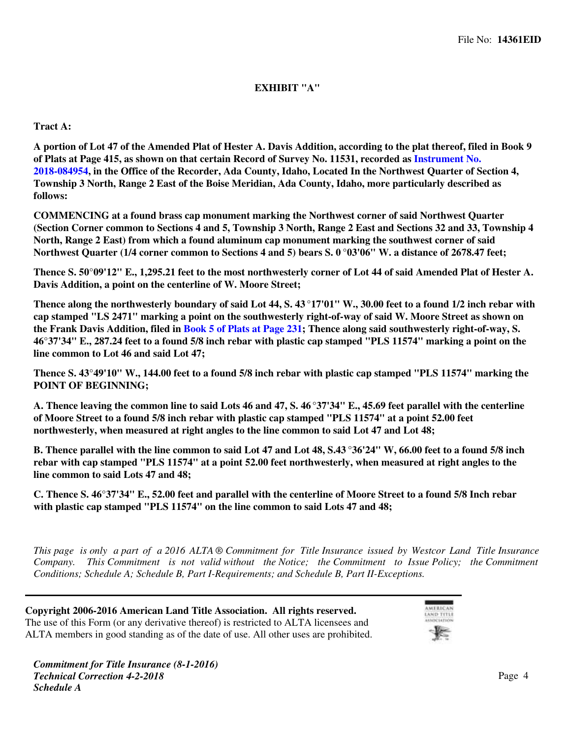### **EXHIBIT "A"**

### **Tract A:**

**A portion of Lot 47 of the Amended Plat of Hester A. Davis Addition, according to the plat thereof, filed in Book 9 of Plats at Page 415, as shown on that certain Record of Survey No. 11531, recorded as [Instrument No.](https://www.4tier.com/storagerepositorydownload?id=eyJLZXkiOiJBUUlEQUhqMk1qQ0tnd3RwMjFDOWZHZDBPbHZqeEJlOFdlWUx0K2U3aVBHNXJ3dWdmQUViOFM3ZWZ5OEhhMlUzOTZZSkt0SUNBQUFBZmpCOEJna3Foa2lHOXcwQkJ3YWdiekJ0QWdFQU1HZ0dDU3FHU0liM0RRRUhBVEFlQmdsZ2hrZ0JaUU1FQVM0d0VRUU1FdTBaWlpaMW5GSkhUNEd0QWdFUWdEdllOSkxOVDR3SmNKODVuNFYyYnJhalBUWFNUN2dOUHZqRHhrWnVULzRGWEgwOFVQdWpjR3ZBMnVMdzVHbEFoYi8vK203Yk1hM2JLNytKTXc9PSIsIkRhdGEiOiJ3Z29yUWd4MGN5cDNLVkdZeVdwZktEcmZ1Si9FU2d1VEdXK1JkMnhFZ09hTTB5Z0VBVE9qTSs4Snd6cENNK3pUcEdrN0MvRC91L2xMNXpQOUtGTDBCdz09In0=) [2018-084954,](https://www.4tier.com/storagerepositorydownload?id=eyJLZXkiOiJBUUlEQUhqMk1qQ0tnd3RwMjFDOWZHZDBPbHZqeEJlOFdlWUx0K2U3aVBHNXJ3dWdmQUViOFM3ZWZ5OEhhMlUzOTZZSkt0SUNBQUFBZmpCOEJna3Foa2lHOXcwQkJ3YWdiekJ0QWdFQU1HZ0dDU3FHU0liM0RRRUhBVEFlQmdsZ2hrZ0JaUU1FQVM0d0VRUU1FdTBaWlpaMW5GSkhUNEd0QWdFUWdEdllOSkxOVDR3SmNKODVuNFYyYnJhalBUWFNUN2dOUHZqRHhrWnVULzRGWEgwOFVQdWpjR3ZBMnVMdzVHbEFoYi8vK203Yk1hM2JLNytKTXc9PSIsIkRhdGEiOiJ3Z29yUWd4MGN5cDNLVkdZeVdwZktEcmZ1Si9FU2d1VEdXK1JkMnhFZ09hTTB5Z0VBVE9qTSs4Snd6cENNK3pUcEdrN0MvRC91L2xMNXpQOUtGTDBCdz09In0=) in the Office of the Recorder, Ada County, Idaho, Located In the Northwest Quarter of Section 4, Township 3 North, Range 2 East of the Boise Meridian, Ada County, Idaho, more particularly described as follows:**

**COMMENCING at a found brass cap monument marking the Northwest corner of said Northwest Quarter (Section Corner common to Sections 4 and 5, Township 3 North, Range 2 East and Sections 32 and 33, Township 4 North, Range 2 East) from which a found aluminum cap monument marking the southwest corner of said Northwest Quarter (1/4 corner common to Sections 4 and 5) bears S. 0 °03'06" W. a distance of 2678.47 feet;**

**Thence S. 50°09'12" E., 1,295.21 feet to the most northwesterly corner of Lot 44 of said Amended Plat of Hester A. Davis Addition, a point on the centerline of W. Moore Street;**

**Thence along the northwesterly boundary of said Lot 44, S. 43 °17'01" W., 30.00 feet to a found 1/2 inch rebar with cap stamped "LS 2471" marking a point on the southwesterly right-of-way of said W. Moore Street as shown on the Frank Davis Addition, filed in [Book 5 of Plats at Page 231](https://www.4tier.com/storagerepositorydownload?id=eyJLZXkiOiJBUUlEQUhqMk1qQ0tnd3RwMjFDOWZHZDBPbHZqeEJlOFdlWUx0K2U3aVBHNXJ3dWdmQUVabkdHeDBDbGZQSTlJL0RET2JMNHpBQUFBZmpCOEJna3Foa2lHOXcwQkJ3YWdiekJ0QWdFQU1HZ0dDU3FHU0liM0RRRUhBVEFlQmdsZ2hrZ0JaUU1FQVM0d0VRUU1KWEpCSC9NbUdxcFNBcmxTQWdFUWdEdTBLMWErM2tJRlZrYno3cHBuYm91Ync5Q1RLbFlHb0pjdkx5K2p4SEtpTWJibFFMQ2pOV2dyNGU2eVRmV2lWbEV4SFVmbWpBS2JRZEJ3WHc9PSIsIkRhdGEiOiJOOU9hM0ZHR2crY3hrOFdjOXJpSzlnS29ycytFV0xPWDdZZ2lIVlE0VG9uWFdqU2orUXkzQ2pFMGlNZmhQUnFtaktMNzVuS1BMMGdHSXBKcmlhOHkwUT09In0=); Thence along said southwesterly right-of-way, S. 46°37'34" E., 287.24 feet to a found 5/8 inch rebar with plastic cap stamped "PLS 11574" marking a point on the line common to Lot 46 and said Lot 47;**

**Thence S. 43°49'10" W., 144.00 feet to a found 5/8 inch rebar with plastic cap stamped "PLS 11574" marking the POINT OF BEGINNING;**

**A. Thence leaving the common line to said Lots 46 and 47, S. 46 °37'34" E., 45.69 feet parallel with the centerline of Moore Street to a found 5/8 inch rebar with plastic cap stamped "PLS 11574" at a point 52.00 feet northwesterly, when measured at right angles to the line common to said Lot 47 and Lot 48;**

**B. Thence parallel with the line common to said Lot 47 and Lot 48, S.43 °36'24" W, 66.00 feet to a found 5/8 inch rebar with cap stamped "PLS 11574" at a point 52.00 feet northwesterly, when measured at right angles to the line common to said Lots 47 and 48;**

**C. Thence S. 46°37'34" E., 52.00 feet and parallel with the centerline of Moore Street to a found 5/8 Inch rebar with plastic cap stamped "PLS 11574" on the line common to said Lots 47 and 48;**

*This page is only a part of a 2016 ALTA ® Commitment for Title Insurance issued by Westcor Land Title Insurance Company. This Commitment is not valid without the Notice; the Commitment to Issue Policy; the Commitment Conditions; Schedule A; Schedule B, Part I-Requirements; and Schedule B, Part II-Exceptions.*

**Copyright 2006-2016 American Land Title Association. All rights reserved.** The use of this Form (or any derivative thereof) is restricted to ALTA licensees and ALTA members in good standing as of the date of use. All other uses are prohibited.

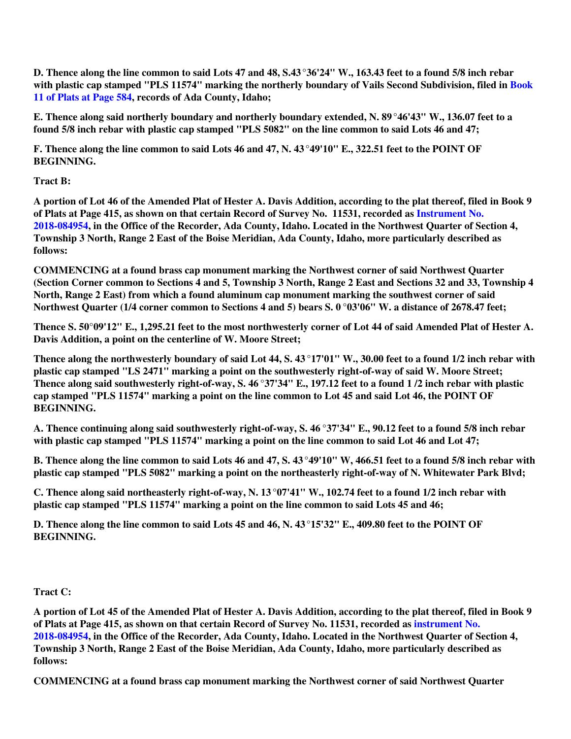**D. Thence along the line common to said Lots 47 and 48, S.43°36'24" W., 163.43 feet to a found 5/8 inch rebar with plastic cap stamped "PLS 11574" marking the northerly boundary of Vails Second Subdivision, filed in [Book](https://www.4tier.com/storagerepositorydownload?id=eyJLZXkiOiJBUUlEQUhqMk1qQ0tnd3RwMjFDOWZHZDBPbHZqeEJlOFdlWUx0K2U3aVBHNXJ3dWdmQUZ5dGY4WVk1dlRVUENjc2RNN01jMFJBQUFBZmpCOEJna3Foa2lHOXcwQkJ3YWdiekJ0QWdFQU1HZ0dDU3FHU0liM0RRRUhBVEFlQmdsZ2hrZ0JaUU1FQVM0d0VRUU1YRWpzVy82MmVLbGc4M1hsQWdFUWdEdmNMUlBic1BwWHoyY3M0eStZZkE5WmExbnpLSzNZc25vcnF1QVBnajNzK2JRUEhtYWJtTmFFOE1HYWY1Yk9KdURRdDVpSlBjWnFMdEVRaUE9PSIsIkRhdGEiOiJsTVdBM2htT3BKb0xiQUlCZGpCWURqd3liRmx2eHVZV25Ra1JGSjY1TDZ2NDdGV0FubngyUXpRcXd3TzZIZ2V0UHhTRW04bDRyVXJYY0pSbWhoUGg5UT09In0=) [11 of Plats at Page 584](https://www.4tier.com/storagerepositorydownload?id=eyJLZXkiOiJBUUlEQUhqMk1qQ0tnd3RwMjFDOWZHZDBPbHZqeEJlOFdlWUx0K2U3aVBHNXJ3dWdmQUZ5dGY4WVk1dlRVUENjc2RNN01jMFJBQUFBZmpCOEJna3Foa2lHOXcwQkJ3YWdiekJ0QWdFQU1HZ0dDU3FHU0liM0RRRUhBVEFlQmdsZ2hrZ0JaUU1FQVM0d0VRUU1YRWpzVy82MmVLbGc4M1hsQWdFUWdEdmNMUlBic1BwWHoyY3M0eStZZkE5WmExbnpLSzNZc25vcnF1QVBnajNzK2JRUEhtYWJtTmFFOE1HYWY1Yk9KdURRdDVpSlBjWnFMdEVRaUE9PSIsIkRhdGEiOiJsTVdBM2htT3BKb0xiQUlCZGpCWURqd3liRmx2eHVZV25Ra1JGSjY1TDZ2NDdGV0FubngyUXpRcXd3TzZIZ2V0UHhTRW04bDRyVXJYY0pSbWhoUGg5UT09In0=), records of Ada County, Idaho;**

**E. Thence along said northerly boundary and northerly boundary extended, N. 89°46'43" W., 136.07 feet to a found 5/8 inch rebar with plastic cap stamped "PLS 5082" on the line common to said Lots 46 and 47;**

**F. Thence along the line common to said Lots 46 and 47, N. 43 °49'10" E., 322.51 feet to the POINT OF BEGINNING.**

**Tract B:**

**A portion of Lot 46 of the Amended Plat of Hester A. Davis Addition, according to the plat thereof, filed in Book 9 of Plats at Page 415, as shown on that certain Record of Survey No. 11531, recorded as [Instrument No.](https://www.4tier.com/storagerepositorydownload?id=eyJLZXkiOiJBUUlEQUhqMk1qQ0tnd3RwMjFDOWZHZDBPbHZqeEJlOFdlWUx0K2U3aVBHNXJ3dWdmQUViOFM3ZWZ5OEhhMlUzOTZZSkt0SUNBQUFBZmpCOEJna3Foa2lHOXcwQkJ3YWdiekJ0QWdFQU1HZ0dDU3FHU0liM0RRRUhBVEFlQmdsZ2hrZ0JaUU1FQVM0d0VRUU1FdTBaWlpaMW5GSkhUNEd0QWdFUWdEdllOSkxOVDR3SmNKODVuNFYyYnJhalBUWFNUN2dOUHZqRHhrWnVULzRGWEgwOFVQdWpjR3ZBMnVMdzVHbEFoYi8vK203Yk1hM2JLNytKTXc9PSIsIkRhdGEiOiJ3Z29yUWd4MGN5cDNLVkdZeVdwZktEcmZ1Si9FU2d1VEdXK1JkMnhFZ09hTTB5Z0VBVE9qTSs4Snd6cENNK3pUcEdrN0MvRC91L2xMNXpQOUtGTDBCdz09In0=) [2018-084954,](https://www.4tier.com/storagerepositorydownload?id=eyJLZXkiOiJBUUlEQUhqMk1qQ0tnd3RwMjFDOWZHZDBPbHZqeEJlOFdlWUx0K2U3aVBHNXJ3dWdmQUViOFM3ZWZ5OEhhMlUzOTZZSkt0SUNBQUFBZmpCOEJna3Foa2lHOXcwQkJ3YWdiekJ0QWdFQU1HZ0dDU3FHU0liM0RRRUhBVEFlQmdsZ2hrZ0JaUU1FQVM0d0VRUU1FdTBaWlpaMW5GSkhUNEd0QWdFUWdEdllOSkxOVDR3SmNKODVuNFYyYnJhalBUWFNUN2dOUHZqRHhrWnVULzRGWEgwOFVQdWpjR3ZBMnVMdzVHbEFoYi8vK203Yk1hM2JLNytKTXc9PSIsIkRhdGEiOiJ3Z29yUWd4MGN5cDNLVkdZeVdwZktEcmZ1Si9FU2d1VEdXK1JkMnhFZ09hTTB5Z0VBVE9qTSs4Snd6cENNK3pUcEdrN0MvRC91L2xMNXpQOUtGTDBCdz09In0=) in the Office of the Recorder, Ada County, Idaho. Located in the Northwest Quarter of Section 4, Township 3 North, Range 2 East of the Boise Meridian, Ada County, Idaho, more particularly described as follows:**

**COMMENCING at a found brass cap monument marking the Northwest corner of said Northwest Quarter (Section Corner common to Sections 4 and 5, Township 3 North, Range 2 East and Sections 32 and 33, Township 4 North, Range 2 East) from which a found aluminum cap monument marking the southwest corner of said Northwest Quarter (1/4 corner common to Sections 4 and 5) bears S. 0 °03'06" W. a distance of 2678.47 feet;**

**Thence S. 50°09'12" E., 1,295.21 feet to the most northwesterly corner of Lot 44 of said Amended Plat of Hester A. Davis Addition, a point on the centerline of W. Moore Street;**

**Thence along the northwesterly boundary of said Lot 44, S. 43 °17'01" W., 30.00 feet to a found 1/2 inch rebar with plastic cap stamped "LS 2471" marking a point on the southwesterly right-of-way of said W. Moore Street; Thence along said southwesterly right-of-way, S. 46 °37'34" E., 197.12 feet to a found 1 /2 inch rebar with plastic cap stamped "PLS 11574" marking a point on the line common to Lot 45 and said Lot 46, the POINT OF BEGINNING.**

**A. Thence continuing along said southwesterly right-of-way, S. 46 °37'34" E., 90.12 feet to a found 5/8 inch rebar with plastic cap stamped "PLS 11574" marking a point on the line common to said Lot 46 and Lot 47;**

**B. Thence along the line common to said Lots 46 and 47, S. 43 °49'10" W, 466.51 feet to a found 5/8 inch rebar with plastic cap stamped "PLS 5082" marking a point on the northeasterly right-of-way of N. Whitewater Park Blvd;**

**C. Thence along said northeasterly right-of-way, N. 13 °07'41" W., 102.74 feet to a found 1/2 inch rebar with plastic cap stamped "PLS 11574" marking a point on the line common to said Lots 45 and 46;**

**D. Thence along the line common to said Lots 45 and 46, N. 43°15'32" E., 409.80 feet to the POINT OF BEGINNING.**

**Tract C:**

**A portion of Lot 45 of the Amended Plat of Hester A. Davis Addition, according to the plat thereof, filed in Book 9 of Plats at Page 415, as shown on that certain Record of Survey No. 11531, recorded as [instrument No.](https://www.4tier.com/storagerepositorydownload?id=eyJLZXkiOiJBUUlEQUhqMk1qQ0tnd3RwMjFDOWZHZDBPbHZqeEJlOFdlWUx0K2U3aVBHNXJ3dWdmQUViOFM3ZWZ5OEhhMlUzOTZZSkt0SUNBQUFBZmpCOEJna3Foa2lHOXcwQkJ3YWdiekJ0QWdFQU1HZ0dDU3FHU0liM0RRRUhBVEFlQmdsZ2hrZ0JaUU1FQVM0d0VRUU1FdTBaWlpaMW5GSkhUNEd0QWdFUWdEdllOSkxOVDR3SmNKODVuNFYyYnJhalBUWFNUN2dOUHZqRHhrWnVULzRGWEgwOFVQdWpjR3ZBMnVMdzVHbEFoYi8vK203Yk1hM2JLNytKTXc9PSIsIkRhdGEiOiJ3Z29yUWd4MGN5cDNLVkdZeVdwZktEcmZ1Si9FU2d1VEdXK1JkMnhFZ09hTTB5Z0VBVE9qTSs4Snd6cENNK3pUcEdrN0MvRC91L2xMNXpQOUtGTDBCdz09In0=) [2018-084954,](https://www.4tier.com/storagerepositorydownload?id=eyJLZXkiOiJBUUlEQUhqMk1qQ0tnd3RwMjFDOWZHZDBPbHZqeEJlOFdlWUx0K2U3aVBHNXJ3dWdmQUViOFM3ZWZ5OEhhMlUzOTZZSkt0SUNBQUFBZmpCOEJna3Foa2lHOXcwQkJ3YWdiekJ0QWdFQU1HZ0dDU3FHU0liM0RRRUhBVEFlQmdsZ2hrZ0JaUU1FQVM0d0VRUU1FdTBaWlpaMW5GSkhUNEd0QWdFUWdEdllOSkxOVDR3SmNKODVuNFYyYnJhalBUWFNUN2dOUHZqRHhrWnVULzRGWEgwOFVQdWpjR3ZBMnVMdzVHbEFoYi8vK203Yk1hM2JLNytKTXc9PSIsIkRhdGEiOiJ3Z29yUWd4MGN5cDNLVkdZeVdwZktEcmZ1Si9FU2d1VEdXK1JkMnhFZ09hTTB5Z0VBVE9qTSs4Snd6cENNK3pUcEdrN0MvRC91L2xMNXpQOUtGTDBCdz09In0=) in the Office of the Recorder, Ada County, Idaho. Located in the Northwest Quarter of Section 4, Township 3 North, Range 2 East of the Boise Meridian, Ada County, Idaho, more particularly described as follows:**

**COMMENCING at a found brass cap monument marking the Northwest corner of said Northwest Quarter**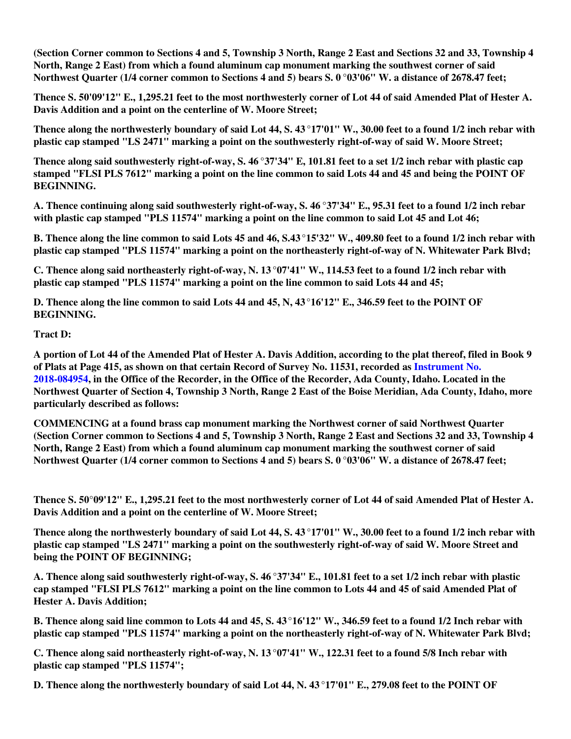**(Section Corner common to Sections 4 and 5, Township 3 North, Range 2 East and Sections 32 and 33, Township 4 North, Range 2 East) from which a found aluminum cap monument marking the southwest corner of said Northwest Quarter (1/4 corner common to Sections 4 and 5) bears S. 0 °03'06" W. a distance of 2678.47 feet;**

**Thence S. 50'09'12" E., 1,295.21 feet to the most northwesterly corner of Lot 44 of said Amended Plat of Hester A. Davis Addition and a point on the centerline of W. Moore Street;**

**Thence along the northwesterly boundary of said Lot 44, S. 43 °17'01" W., 30.00 feet to a found 1/2 inch rebar with plastic cap stamped "LS 2471" marking a point on the southwesterly right-of-way of said W. Moore Street;**

**Thence along said southwesterly right-of-way, S. 46 °37'34" E, 101.81 feet to a set 1/2 inch rebar with plastic cap stamped "FLSI PLS 7612" marking a point on the line common to said Lots 44 and 45 and being the POINT OF BEGINNING.**

**A. Thence continuing along said southwesterly right-of-way, S. 46 °37'34" E., 95.31 feet to a found 1/2 inch rebar with plastic cap stamped "PLS 11574" marking a point on the line common to said Lot 45 and Lot 46;**

**B. Thence along the line common to said Lots 45 and 46, S.43 °15'32" W., 409.80 feet to a found 1/2 inch rebar with plastic cap stamped "PLS 11574" marking a point on the northeasterly right-of-way of N. Whitewater Park Blvd;**

**C. Thence along said northeasterly right-of-way, N. 13 °07'41" W., 114.53 feet to a found 1/2 inch rebar with plastic cap stamped "PLS 11574" marking a point on the line common to said Lots 44 and 45;**

**D. Thence along the line common to said Lots 44 and 45, N, 43°16'12" E., 346.59 feet to the POINT OF BEGINNING.**

### **Tract D:**

**A portion of Lot 44 of the Amended Plat of Hester A. Davis Addition, according to the plat thereof, filed in Book 9 of Plats at Page 415, as shown on that certain Record of Survey No. 11531, recorded as [Instrument No.](https://www.4tier.com/storagerepositorydownload?id=eyJLZXkiOiJBUUlEQUhqMk1qQ0tnd3RwMjFDOWZHZDBPbHZqeEJlOFdlWUx0K2U3aVBHNXJ3dWdmQUViOFM3ZWZ5OEhhMlUzOTZZSkt0SUNBQUFBZmpCOEJna3Foa2lHOXcwQkJ3YWdiekJ0QWdFQU1HZ0dDU3FHU0liM0RRRUhBVEFlQmdsZ2hrZ0JaUU1FQVM0d0VRUU1FdTBaWlpaMW5GSkhUNEd0QWdFUWdEdllOSkxOVDR3SmNKODVuNFYyYnJhalBUWFNUN2dOUHZqRHhrWnVULzRGWEgwOFVQdWpjR3ZBMnVMdzVHbEFoYi8vK203Yk1hM2JLNytKTXc9PSIsIkRhdGEiOiJ3Z29yUWd4MGN5cDNLVkdZeVdwZktEcmZ1Si9FU2d1VEdXK1JkMnhFZ09hTTB5Z0VBVE9qTSs4Snd6cENNK3pUcEdrN0MvRC91L2xMNXpQOUtGTDBCdz09In0=) [2018-084954,](https://www.4tier.com/storagerepositorydownload?id=eyJLZXkiOiJBUUlEQUhqMk1qQ0tnd3RwMjFDOWZHZDBPbHZqeEJlOFdlWUx0K2U3aVBHNXJ3dWdmQUViOFM3ZWZ5OEhhMlUzOTZZSkt0SUNBQUFBZmpCOEJna3Foa2lHOXcwQkJ3YWdiekJ0QWdFQU1HZ0dDU3FHU0liM0RRRUhBVEFlQmdsZ2hrZ0JaUU1FQVM0d0VRUU1FdTBaWlpaMW5GSkhUNEd0QWdFUWdEdllOSkxOVDR3SmNKODVuNFYyYnJhalBUWFNUN2dOUHZqRHhrWnVULzRGWEgwOFVQdWpjR3ZBMnVMdzVHbEFoYi8vK203Yk1hM2JLNytKTXc9PSIsIkRhdGEiOiJ3Z29yUWd4MGN5cDNLVkdZeVdwZktEcmZ1Si9FU2d1VEdXK1JkMnhFZ09hTTB5Z0VBVE9qTSs4Snd6cENNK3pUcEdrN0MvRC91L2xMNXpQOUtGTDBCdz09In0=) in the Office of the Recorder, in the Office of the Recorder, Ada County, Idaho. Located in the Northwest Quarter of Section 4, Township 3 North, Range 2 East of the Boise Meridian, Ada County, Idaho, more particularly described as follows:**

**COMMENCING at a found brass cap monument marking the Northwest corner of said Northwest Quarter (Section Corner common to Sections 4 and 5, Township 3 North, Range 2 East and Sections 32 and 33, Township 4 North, Range 2 East) from which a found aluminum cap monument marking the southwest corner of said Northwest Quarter (1/4 corner common to Sections 4 and 5) bears S. 0 °03'06" W. a distance of 2678.47 feet;**

**Thence S. 50°09'12" E., 1,295.21 feet to the most northwesterly corner of Lot 44 of said Amended Plat of Hester A. Davis Addition and a point on the centerline of W. Moore Street;**

**Thence along the northwesterly boundary of said Lot 44, S. 43 °17'01" W., 30.00 feet to a found 1/2 inch rebar with plastic cap stamped "LS 2471" marking a point on the southwesterly right-of-way of said W. Moore Street and being the POINT OF BEGINNING;**

**A. Thence along said southwesterly right-of-way, S. 46 °37'34" E., 101.81 feet to a set 1/2 inch rebar with plastic cap stamped "FLSI PLS 7612" marking a point on the line common to Lots 44 and 45 of said Amended Plat of Hester A. Davis Addition;**

**B. Thence along said line common to Lots 44 and 45, S. 43°16'12" W., 346.59 feet to a found 1/2 Inch rebar with plastic cap stamped "PLS 11574" marking a point on the northeasterly right-of-way of N. Whitewater Park Blvd;**

**C. Thence along said northeasterly right-of-way, N. 13 °07'41" W., 122.31 feet to a found 5/8 Inch rebar with plastic cap stamped "PLS 11574";**

**D. Thence along the northwesterly boundary of said Lot 44, N. 43 °17'01" E., 279.08 feet to the POINT OF**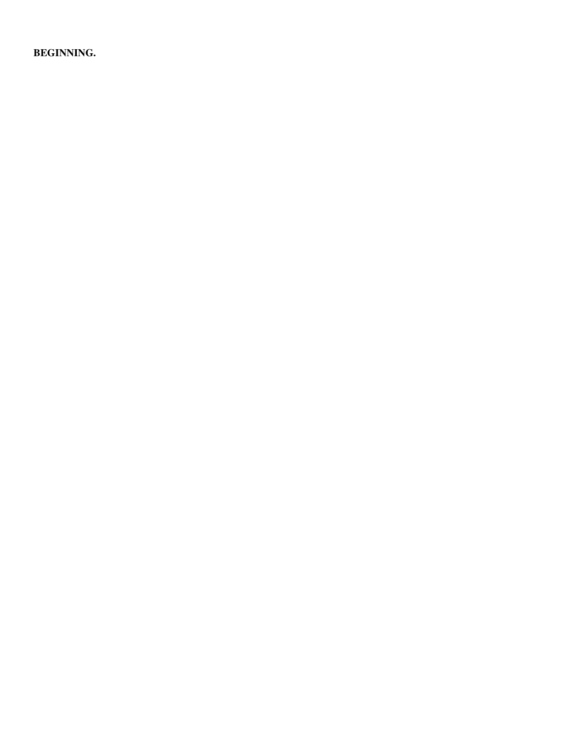**BEGINNING.**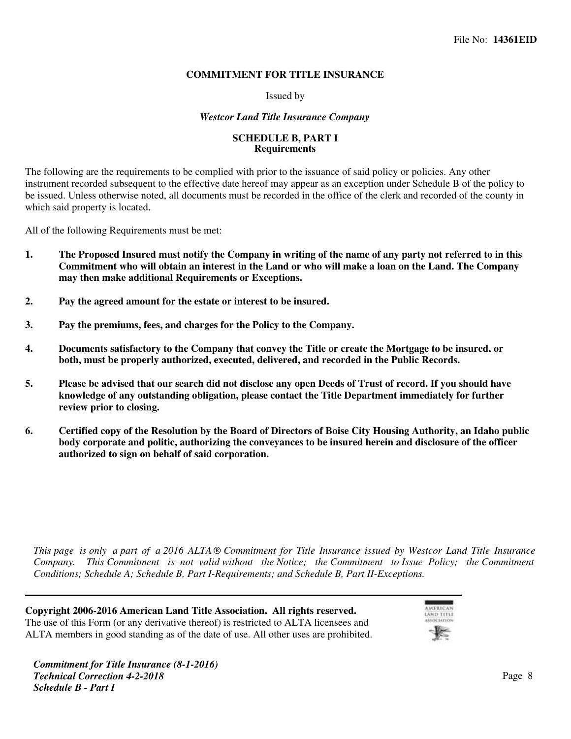### **COMMITMENT FOR TITLE INSURANCE**

Issued by

#### *Westcor Land Title Insurance Company*

#### **SCHEDULE B, PART I Requirements**

The following are the requirements to be complied with prior to the issuance of said policy or policies. Any other instrument recorded subsequent to the effective date hereof may appear as an exception under Schedule B of the policy to be issued. Unless otherwise noted, all documents must be recorded in the office of the clerk and recorded of the county in which said property is located.

All of the following Requirements must be met:

- **1. The Proposed Insured must notify the Company in writing of the name of any party not referred to in this Commitment who will obtain an interest in the Land or who will make a loan on the Land. The Company may then make additional Requirements or Exceptions.**
- **2. Pay the agreed amount for the estate or interest to be insured.**
- **3. Pay the premiums, fees, and charges for the Policy to the Company.**
- **4. Documents satisfactory to the Company that convey the Title or create the Mortgage to be insured, or both, must be properly authorized, executed, delivered, and recorded in the Public Records.**
- **Frame 3. Please be advised that our search did not disclose any open Deeds of Trust of record. If you should have knowledge of any outstanding obligation, please contact the Title Department immediately for further review prior to closing.**
- **Certified copy of the Resolution by the Board of Directors of Boise City Housing Authority, an Idaho public6. body corporate and politic, authorizing the conveyances to be insured herein and disclosure of the officer authorized to sign on behalf of said corporation.**

*This page is only a part of a 2016 ALTA ® Commitment for Title Insurance issued by Westcor Land Title Insurance Company. This Commitment is not valid without the Notice; the Commitment to Issue Policy; the Commitment Conditions; Schedule A; Schedule B, Part I-Requirements; and Schedule B, Part II-Exceptions.*

**Copyright 2006-2016 American Land Title Association. All rights reserved.** The use of this Form (or any derivative thereof) is restricted to ALTA licensees and ALTA members in good standing as of the date of use. All other uses are prohibited.

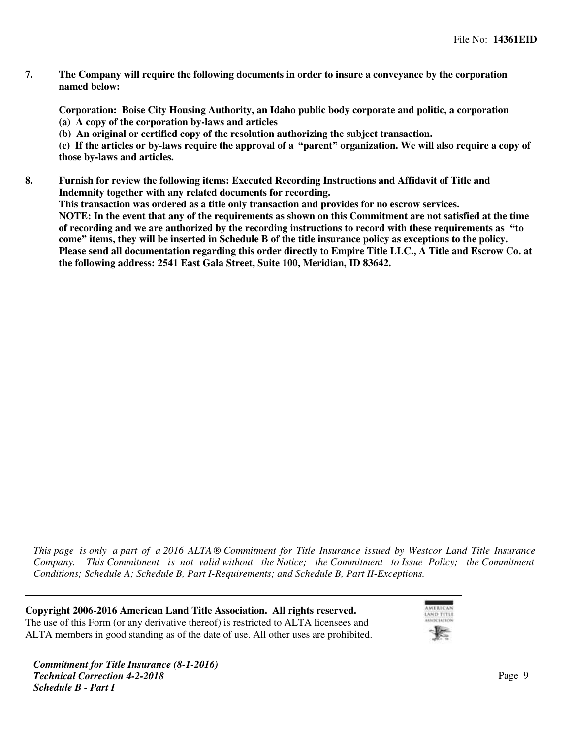**The Company will require the following documents in order to insure a conveyance by the corporation named below:**

**Corporation: Boise City Housing Authority, an Idaho public body corporate and politic, a corporation (a) A copy of the corporation by-laws and articles**

**(b) An original or certified copy of the resolution authorizing the subject transaction.**

**(c) If the articles or by-laws require the approval of a "parent" organization. We will also require a copy of those by-laws and articles.**

**Furnish for review the following items: Executed Recording Instructions and Affidavit of Title and8. Indemnity together with any related documents for recording.**

**This transaction was ordered as a title only transaction and provides for no escrow services. NOTE: In the event that any of the requirements as shown on this Commitment are not satisfied at the time of recording and we are authorized by the recording instructions to record with these requirements as "to come" items, they will be inserted in Schedule B of the title insurance policy as exceptions to the policy. Please send all documentation regarding this order directly to Empire Title LLC., A Title and Escrow Co. at the following address: 2541 East Gala Street, Suite 100, Meridian, ID 83642.**

*This page is only a part of a 2016 ALTA ® Commitment for Title Insurance issued by Westcor Land Title Insurance Company. This Commitment is not valid without the Notice; the Commitment to Issue Policy; the Commitment Conditions; Schedule A; Schedule B, Part I-Requirements; and Schedule B, Part II-Exceptions.*

**Copyright 2006-2016 American Land Title Association. All rights reserved.** The use of this Form (or any derivative thereof) is restricted to ALTA licensees and ALTA members in good standing as of the date of use. All other uses are prohibited.

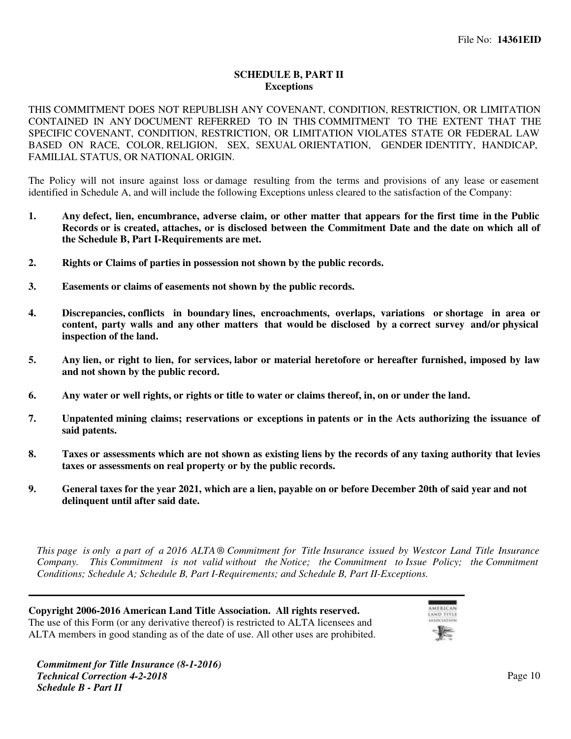### **SCHEDULE B, PART II Exceptions**

THIS COMMITMENT DOES NOT REPUBLISH ANY COVENANT, CONDITION, RESTRICTION, OR LIMITATION CONTAINED IN ANY DOCUMENT REFERRED TO IN THIS COMMITMENT TO THE EXTENT THAT THE SPECIFIC COVENANT, CONDITION, RESTRICTION, OR LIMITATION VIOLATES STATE OR FEDERAL LAW BASED ON RACE, COLOR, RELIGION, SEX, SEXUAL ORIENTATION, GENDER IDENTITY, HANDICAP, FAMILIAL STATUS, OR NATIONAL ORIGIN.

The Policy will not insure against loss or damage resulting from the terms and provisions of any lease or easement identified in Schedule A, and will include the following Exceptions unless cleared to the satisfaction of the Company:

- **1. Any defect, lien, encumbrance, adverse claim, or other matter that appears for the first time in the Public Records or is created, attaches, or is disclosed between the Commitment Date and the date on which all of the Schedule B, Part I-Requirements are met.**
- **2. Rights or Claims of parties in possession not shown by the public records.**
- **3. Easements or claims of easements not shown by the public records.**
- **4. Discrepancies, conflicts in boundary lines, encroachments, overlaps, variations or shortage in area or content, party walls and any other matters that would be disclosed by a correct survey and/or physical inspection of the land.**
- **5. Any lien, or right to lien, for services, labor or material heretofore or hereafter furnished, imposed by law and not shown by the public record.**
- **6. Any water or well rights, or rights or title to water or claims thereof, in, on or under the land.**
- **7. Unpatented mining claims; reservations or exceptions in patents or in the Acts authorizing the issuance of said patents.**
- **8. Taxes or assessments which are not shown as existing liens by the records of any taxing authority that levies taxes or assessments on real property or by the public records.**
- **9.** General taxes for the year 2021, which are a lien, payable on or before December 20th of said year and not **delinquent until after said date.**

*This page is only a part of a 2016 ALTA ® Commitment for Title Insurance issued by Westcor Land Title Insurance Company. This Commitment is not valid without the Notice; the Commitment to Issue Policy; the Commitment Conditions; Schedule A; Schedule B, Part I-Requirements; and Schedule B, Part II-Exceptions.*

**Copyright 2006-2016 American Land Title Association. All rights reserved.** The use of this Form (or any derivative thereof) is restricted to ALTA licensees and ALTA members in good standing as of the date of use. All other uses are prohibited.

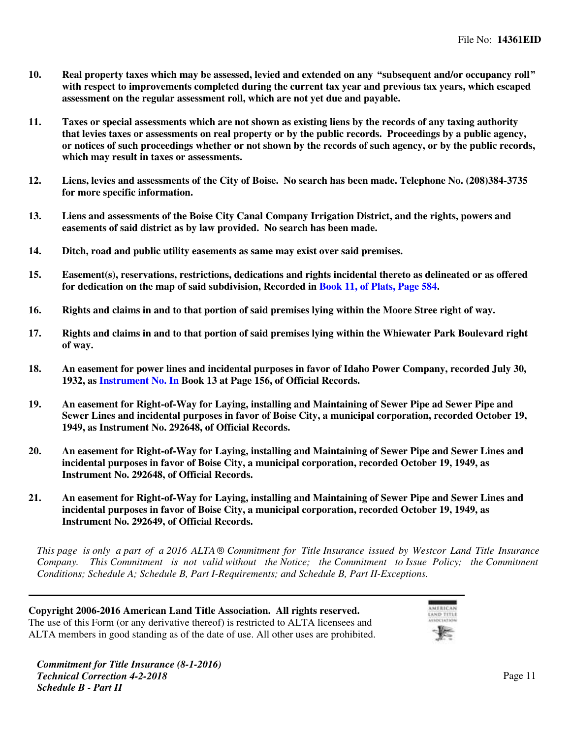- **10. Real property taxes which may be assessed, levied and extended on any "subsequent and/or occupancy roll" with respect to improvements completed during the current tax year and previous tax years, which escaped assessment on the regular assessment roll, which are not yet due and payable.**
- **11.** Taxes or special assessments which are not shown as existing liens by the records of any taxing authority **that levies taxes or assessments on real property or by the public records. Proceedings by a public agency, or notices of such proceedings whether or not shown by the records of such agency, or by the public records, which may result in taxes or assessments.**
- 12. Liens, levies and assessments of the City of Boise. No search has been made. Telephone No. (208)384-3735 **for more specific information.**
- 13. Liens and assessments of the Boise City Canal Company Irrigation District, and the rights, powers and **easements of said district as by law provided. No search has been made.**
- **Ditch, road and public utility easements as same may exist over said premises.14.**
- **15.** Easement(s), reservations, restrictions, dedications and rights incidental thereto as delineated or as offered **for dedication on the map of said subdivision, Recorded in [Book 11, of Plats, Page 584.](https://www.4tier.com/storagerepositorydownload?id=eyJLZXkiOiJBUUlEQUhqMk1qQ0tnd3RwMjFDOWZHZDBPbHZqeEJlOFdlWUx0K2U3aVBHNXJ3dWdmQUVVTWZ0dnUxU2c4TjdpbXRsMGNhUS9BQUFBZmpCOEJna3Foa2lHOXcwQkJ3YWdiekJ0QWdFQU1HZ0dDU3FHU0liM0RRRUhBVEFlQmdsZ2hrZ0JaUU1FQVM0d0VRUU0yZ2ppWHVlekFQNkM2WDViQWdFUWdEc1QyRUhpM041aS9ZN2ZQV3BiaHNUTktERFVLRnIzSG8rNTcySkNFS0lUMHdBRG9yL3VSYUVlZ0NNaXZmOGJybHkrQVFVNTRYUVZDSW9xUVE9PSIsIkRhdGEiOiJHK2VucFFtNXVOZnZPekd6dld6V2dsMzZJU2lyRWVRQmhpUTFyMTQ2VzlHaXBHWlhvSmQxTTE0K250MlV1dXVHdFRORVRVUTRoZ0thcDlSZHR4MmJhUT09In0=)**
- 16. Rights and claims in and to that portion of said premises lying within the Moore Stree right of way.
- 17. Rights and claims in and to that portion of said premises lying within the Whiewater Park Boulevard right **of way.**
- 18. An easement for power lines and incidental purposes in favor of Idaho Power Company, recorded July 30, **1932, as [Instrument No. In](https://www.4tier.com/storagerepositorydownload?id=eyJLZXkiOiJBUUlEQUhqMk1qQ0tnd3RwMjFDOWZHZDBPbHZqeEJlOFdlWUx0K2U3aVBHNXJ3dWdmQUd0UTBjWDlUMUlTVFlzVlZqYmhSQU5BQUFBZmpCOEJna3Foa2lHOXcwQkJ3YWdiekJ0QWdFQU1HZ0dDU3FHU0liM0RRRUhBVEFlQmdsZ2hrZ0JaUU1FQVM0d0VRUU04Vk9RbnZMZ2RRVVE2TVF5QWdFUWdEdjdxVExrSW9nRVRTQS9BbGpBem0zVk15K1I5ejFRYmVTdHlLWkJEOXI1YVFTV0FIbmtyeTRrSlB4N3ozRHdOMTFkamh4Uy81RFJkYWR0RWc9PSIsIkRhdGEiOiJFQnplc3JVdlhROXUzOTdoUmRDOFNuYi9jL2JBYzZ6UnBXby9BL0VrbGorY0p0b2NFMlVERmwxa1lxVGFGdjZqVFVjbzZZelZaQkdzR2VMbmhXdFVWZz09In0=) Book 13 at Page 156, of Official Records.**
- 19. An easement for Right-of-Way for Laying, installing and Maintaining of Sewer Pipe ad Sewer Pipe and **Sewer Lines and incidental purposes in favor of Boise City, a municipal corporation, recorded October 19, 1949, as Instrument No. 292648, of Official Records.**
- **20.** An easement for Right-of-Way for Laying, installing and Maintaining of Sewer Pipe and Sewer Lines and **incidental purposes in favor of Boise City, a municipal corporation, recorded October 19, 1949, as Instrument No. 292648, of Official Records.**
- **An easement for Right-of-Way for Laying, installing and Maintaining of Sewer Pipe and Sewer Lines and21. incidental purposes in favor of Boise City, a municipal corporation, recorded October 19, 1949, as Instrument No. 292649, of Official Records.**

*This page is only a part of a 2016 ALTA ® Commitment for Title Insurance issued by Westcor Land Title Insurance Company. This Commitment is not valid without the Notice; the Commitment to Issue Policy; the Commitment Conditions; Schedule A; Schedule B, Part I-Requirements; and Schedule B, Part II-Exceptions.*

**Copyright 2006-2016 American Land Title Association. All rights reserved.** The use of this Form (or any derivative thereof) is restricted to ALTA licensees and ALTA members in good standing as of the date of use. All other uses are prohibited.

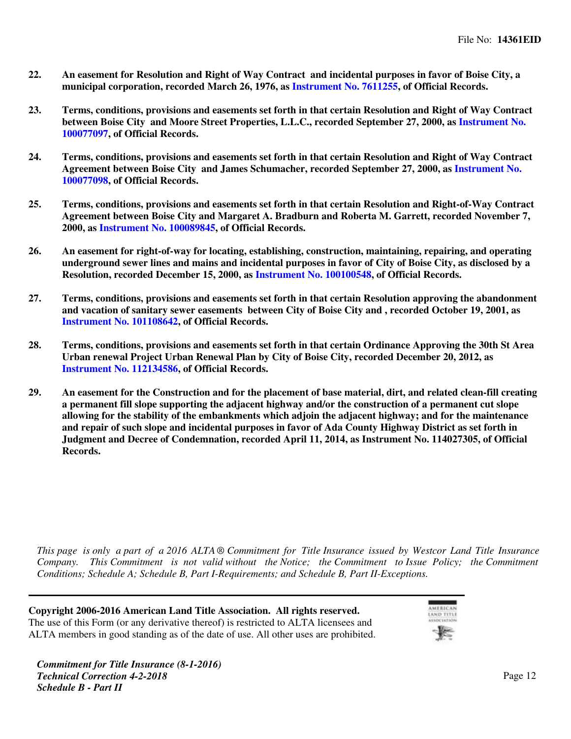- **An easement for Resolution and Right of Way Contract and incidental purposes in favor of Boise City, a22. municipal corporation, recorded March 26, 1976, as [Instrument No. 7611255,](https://www.4tier.com/storagerepositorydownload?id=eyJLZXkiOiJBUUlEQUhqMk1qQ0tnd3RwMjFDOWZHZDBPbHZqeEJlOFdlWUx0K2U3aVBHNXJ3dWdmQUZyaXNFWjZPWDRkVThTdXZIaHF5WjdBQUFBZmpCOEJna3Foa2lHOXcwQkJ3YWdiekJ0QWdFQU1HZ0dDU3FHU0liM0RRRUhBVEFlQmdsZ2hrZ0JaUU1FQVM0d0VRUU1MZlAxRU8vZE9UbnptMkRBQWdFUWdEdG9ENml4TVhIWUYyeE1nZllIQUw1OGFzd3FQTnE3TTFielpOaG5oRVpIVHhRdUJxRFQvK2JaQndYOVpWSlNKRUczM2d3OExMbjVveGhBRXc9PSIsIkRhdGEiOiJvQ2N4Y3E4ZTIvTnhkY1o5c2NYVjlHYnhOZmRWblRReHFlbVBja2EwcUxtQklnRjI5MGFBbHR0Z0tocWtVcTNQTUZidHladjA4Uk1yS2ZJdjVhc1dPQT09In0=) of Official Records.**
- **Terms, conditions, provisions and easements set forth in that certain Resolution and Right of Way Contract23. between Boise City and Moore Street Properties, L.L.C., recorded September 27, 2000, as [Instrument No.](https://www.4tier.com/storagerepositorydownload?id=eyJLZXkiOiJBUUlEQUhqMk1qQ0tnd3RwMjFDOWZHZDBPbHZqeEJlOFdlWUx0K2U3aVBHNXJ3dWdmQUcwUEgrbTlEOHk4TU5Ca3FrYnJETmlBQUFBZmpCOEJna3Foa2lHOXcwQkJ3YWdiekJ0QWdFQU1HZ0dDU3FHU0liM0RRRUhBVEFlQmdsZ2hrZ0JaUU1FQVM0d0VRUU1ZLy9MVGM1Qjg1TXFoN2RvQWdFUWdEdFFLTDNwVXV5cHg2c1BNbDNaYlo5RGhsUy9nMlpITmV4SmxmUHNIKzJBSHltWktkTmFMY2V3TnZQYWtnN2huZ1lXbS9zbVh0QzRLbFJHd1E9PSIsIkRhdGEiOiJrYUhpSnowUWdWei9sL2pCdG9KcFNYck9vaFZtVHVaVUJ3b2tBRWN6cEtpMGFTMlp6NGF1WCtuTnh2S0E3WUtrbS9VaXRodzVhcHdRWGwyM1B2ek13QT09In0=) [100077097](https://www.4tier.com/storagerepositorydownload?id=eyJLZXkiOiJBUUlEQUhqMk1qQ0tnd3RwMjFDOWZHZDBPbHZqeEJlOFdlWUx0K2U3aVBHNXJ3dWdmQUcwUEgrbTlEOHk4TU5Ca3FrYnJETmlBQUFBZmpCOEJna3Foa2lHOXcwQkJ3YWdiekJ0QWdFQU1HZ0dDU3FHU0liM0RRRUhBVEFlQmdsZ2hrZ0JaUU1FQVM0d0VRUU1ZLy9MVGM1Qjg1TXFoN2RvQWdFUWdEdFFLTDNwVXV5cHg2c1BNbDNaYlo5RGhsUy9nMlpITmV4SmxmUHNIKzJBSHltWktkTmFMY2V3TnZQYWtnN2huZ1lXbS9zbVh0QzRLbFJHd1E9PSIsIkRhdGEiOiJrYUhpSnowUWdWei9sL2pCdG9KcFNYck9vaFZtVHVaVUJ3b2tBRWN6cEtpMGFTMlp6NGF1WCtuTnh2S0E3WUtrbS9VaXRodzVhcHdRWGwyM1B2ek13QT09In0=), of Official Records.**
- **Terms, conditions, provisions and easements set forth in that certain Resolution and Right of Way Contract24. Agreement between Boise City and James Schumacher, recorded September 27, 2000, as [Instrument No.](https://www.4tier.com/storagerepositorydownload?id=eyJLZXkiOiJBUUlEQUhqMk1qQ0tnd3RwMjFDOWZHZDBPbHZqeEJlOFdlWUx0K2U3aVBHNXJ3dWdmQUVTNVVuN0cwMmVIbjJOZzRRZ0F3NlJBQUFBZmpCOEJna3Foa2lHOXcwQkJ3YWdiekJ0QWdFQU1HZ0dDU3FHU0liM0RRRUhBVEFlQmdsZ2hrZ0JaUU1FQVM0d0VRUU1EU2Y2REI4RHorb0xQcnUwQWdFUWdEdVlvQit0VW40SHIwUSszSGtRL2VGOHVaK0NiOCtidFdJL3VZRGF6T2s5TlRid0RjOVZhK29LZmVSMXVpSEFLcFNJRWNoMURDbnNHZW5PZXc9PSIsIkRhdGEiOiJiZkl2dDgrL0VXSHFkUnZ1TGF4SDdpUjYzTCtwOHc0VnVCVnI0MGJyTndUNlZ5MUJ6clhNZWZJd1RpOTd1aTRxV1JjYTczMk5kN09HT2tNYmNRM1dlQT09In0=) [100077098](https://www.4tier.com/storagerepositorydownload?id=eyJLZXkiOiJBUUlEQUhqMk1qQ0tnd3RwMjFDOWZHZDBPbHZqeEJlOFdlWUx0K2U3aVBHNXJ3dWdmQUVTNVVuN0cwMmVIbjJOZzRRZ0F3NlJBQUFBZmpCOEJna3Foa2lHOXcwQkJ3YWdiekJ0QWdFQU1HZ0dDU3FHU0liM0RRRUhBVEFlQmdsZ2hrZ0JaUU1FQVM0d0VRUU1EU2Y2REI4RHorb0xQcnUwQWdFUWdEdVlvQit0VW40SHIwUSszSGtRL2VGOHVaK0NiOCtidFdJL3VZRGF6T2s5TlRid0RjOVZhK29LZmVSMXVpSEFLcFNJRWNoMURDbnNHZW5PZXc9PSIsIkRhdGEiOiJiZkl2dDgrL0VXSHFkUnZ1TGF4SDdpUjYzTCtwOHc0VnVCVnI0MGJyTndUNlZ5MUJ6clhNZWZJd1RpOTd1aTRxV1JjYTczMk5kN09HT2tNYmNRM1dlQT09In0=), of Official Records.**
- **Terms, conditions, provisions and easements set forth in that certain Resolution and Right-of-Way Contract25. Agreement between Boise City and Margaret A. Bradburn and Roberta M. Garrett, recorded November 7, 2000, as [Instrument No. 100089845,](https://www.4tier.com/storagerepositorydownload?id=eyJLZXkiOiJBUUlEQUhqMk1qQ0tnd3RwMjFDOWZHZDBPbHZqeEJlOFdlWUx0K2U3aVBHNXJ3dWdmQUhyRmFxZndhNUpick1WZTlXUlk4elZBQUFBZmpCOEJna3Foa2lHOXcwQkJ3YWdiekJ0QWdFQU1HZ0dDU3FHU0liM0RRRUhBVEFlQmdsZ2hrZ0JaUU1FQVM0d0VRUU1LWVhZSXZwSUR5UkRPUlpYQWdFUWdEdnllSFkrZTF4aEV1Zml0Ry9WVnRtaHlNQ3VDU0pqazZKYnB4N3FKYTlxNkVQWjFOU3A2dGoxZG9na2ZvZ0JuVmlVZmZCZEs4NlBYbzFQc3c9PSIsIkRhdGEiOiJvWDdnOXdWazhZV2QzRjBVZXdXREpVWnhQRHpBbVI1TVVlQno5ZVBiSDRXSFlCS2FJYytrcTJUUExyeUIrUi9KWTJxRUcySlhlWERzM2YrOENyK250QT09In0=) of Official Records.**
- 26. An easement for right-of-way for locating, establishing, construction, maintaining, repairing, and operating **underground sewer lines and mains and incidental purposes in favor of City of Boise City, as disclosed by a Resolution, recorded December 15, 2000, as [Instrument No. 100100548](https://www.4tier.com/storagerepositorydownload?id=eyJLZXkiOiJBUUlEQUhqMk1qQ0tnd3RwMjFDOWZHZDBPbHZqeEJlOFdlWUx0K2U3aVBHNXJ3dWdmQUhiQnVWbkpxZEtVMHZJZ2NHdVhUUkxBQUFBZmpCOEJna3Foa2lHOXcwQkJ3YWdiekJ0QWdFQU1HZ0dDU3FHU0liM0RRRUhBVEFlQmdsZ2hrZ0JaUU1FQVM0d0VRUU1tYjFESXMydWhGUVArODk0QWdFUWdEdm5qZEt3bWtxQk1qdFk2V29EaXNHclp3TDlFWFczZmQxY0kvZ2JSVmVRYS8zd2JDaVpub1J0R2p2VklBelFpQ3FmUG5xd3BicmlXSjEraFE9PSIsIkRhdGEiOiJNOGVwTVluTjJLWml1dktpc05weHY3QjZkRnJ5UEw2djE2VHFnT2I5aU9TZ1NWc242Ri9OOHRJekE2U2VHcStodFNiSWdTQ05mNTNKbEdmZDlkOStDZz09In0=), of Official Records.**
- **Terms, conditions, provisions and easements set forth in that certain Resolution approving the abandonment and vacation of sanitary sewer easements between City of Boise City and , recorded October 19, 2001, as [Instrument No. 101108642,](https://www.4tier.com/storagerepositorydownload?id=eyJLZXkiOiJBUUlEQUhqMk1qQ0tnd3RwMjFDOWZHZDBPbHZqeEJlOFdlWUx0K2U3aVBHNXJ3dWdmQUhOV2JqUGYzMVpqeVYzR0NBWVlLSTlBQUFBZmpCOEJna3Foa2lHOXcwQkJ3YWdiekJ0QWdFQU1HZ0dDU3FHU0liM0RRRUhBVEFlQmdsZ2hrZ0JaUU1FQVM0d0VRUU1KU0RWVGpOTE1naDRBTGh3QWdFUWdEc3QwN3pvTE1jVVFYK08rZVFqbDdkUE9hME9oQVJ4UjNuY3BEZWE5SC9RaUxJaDdsT1ZRZnVPVE1SRXI0RUhCVGhQZVNuZVBoZ0JrS3p5ekE9PSIsIkRhdGEiOiJYMnl5VTl1SFIxNTJ2a0FucjFvTWpoMGVxZVpxbGZzWFFEM0h1U3RsaU8zV1oyY1A0bGFvRkN0ckxxdzl1OVo2d1VDaFNqT3E3ODVJMTIzQ3hQTUNPZz09In0=) of Official Records.**
- **28.** Terms, conditions, provisions and easements set forth in that certain Ordinance Approving the 30th St Area **Urban renewal Project Urban Renewal Plan by City of Boise City, recorded December 20, 2012, as [Instrument No. 112134586,](https://www.4tier.com/storagerepositorydownload?id=eyJLZXkiOiJBUUlEQUhqMk1qQ0tnd3RwMjFDOWZHZDBPbHZqeEJlOFdlWUx0K2U3aVBHNXJ3dWdmQUU3SkNxK1lXdzZOZGY4anNhN01Xb3NBQUFBZmpCOEJna3Foa2lHOXcwQkJ3YWdiekJ0QWdFQU1HZ0dDU3FHU0liM0RRRUhBVEFlQmdsZ2hrZ0JaUU1FQVM0d0VRUU1DZ2lsa2g3QmVIZUlWaGpNQWdFUWdEc3NIZkhQbXErWDZXK2Fpc3J0cmF0dnB0Mks0VG4velh0SlJ5bi83MHVoK1BCdDNJYno2V1ZtU0JRSkVacXBUek1SMjQrUHN2ek1mNDJ5QWc9PSIsIkRhdGEiOiJITkY0dUdDMTRQbjU5YU40MnpUV3dBVzY1cklsSjl2T1NsOHJnL01SRjJuQU4yNWhkMWRqRjZKbjU1bitRQ1B3M3RNTEIrTFR4SWxvWTRVZXp3NDJuQT09In0=) of Official Records.**
- **An easement for the Construction and for the placement of base material, dirt, and related clean-fill creating29. a permanent fill slope supporting the adjacent highway and/or the construction of a permanent cut slope allowing for the stability of the embankments which adjoin the adjacent highway; and for the maintenance and repair of such slope and incidental purposes in favor of Ada County Highway District as set forth in Judgment and Decree of Condemnation, recorded April 11, 2014, as Instrument No. 114027305, of Official Records.**

*This page is only a part of a 2016 ALTA ® Commitment for Title Insurance issued by Westcor Land Title Insurance Company. This Commitment is not valid without the Notice; the Commitment to Issue Policy; the Commitment Conditions; Schedule A; Schedule B, Part I-Requirements; and Schedule B, Part II-Exceptions.*

**Copyright 2006-2016 American Land Title Association. All rights reserved.** The use of this Form (or any derivative thereof) is restricted to ALTA licensees and ALTA members in good standing as of the date of use. All other uses are prohibited.

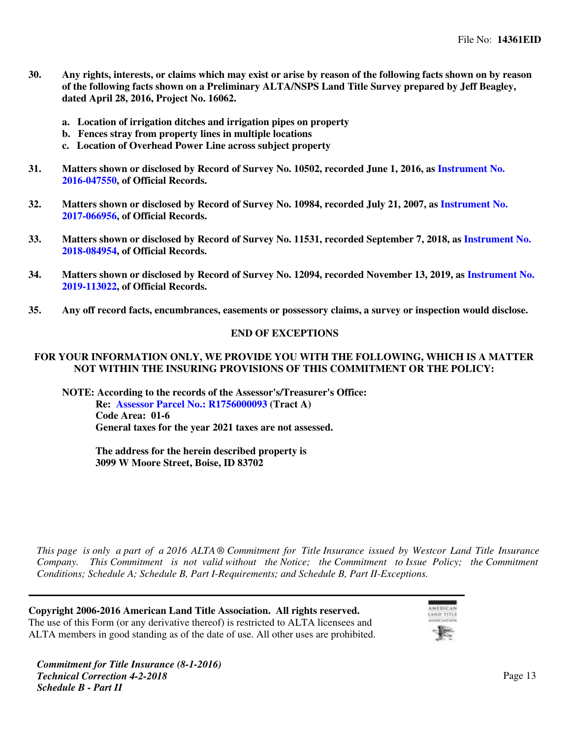- **Any rights, interests, or claims which may exist or arise by reason of the following facts shown on by reason of the following facts shown on a Preliminary ALTA/NSPS Land Title Survey prepared by Jeff Beagley, dated April 28, 2016, Project No. 16062.**
	- **a. Location of irrigation ditches and irrigation pipes on property**
	- **b. Fences stray from property lines in multiple locations**
	- **c. Location of Overhead Power Line across subject property**
- **31. Matters shown or disclosed by Record of Survey No. 10502, recorded June 1, 2016, as [Instrument No.](https://www.4tier.com/storagerepositorydownload?id=eyJLZXkiOiJBUUlEQUhqMk1qQ0tnd3RwMjFDOWZHZDBPbHZqeEJlOFdlWUx0K2U3aVBHNXJ3dWdmQUZOblZ6MTJEKzdPaXFnYVpNNlV2QWdBQUFBZmpCOEJna3Foa2lHOXcwQkJ3YWdiekJ0QWdFQU1HZ0dDU3FHU0liM0RRRUhBVEFlQmdsZ2hrZ0JaUU1FQVM0d0VRUU1XVjcyQzh0WXlMY3Y2NFZ4QWdFUWdEdDZsYUpCS2FkcjdHY0kxWnlxZGlXOEQ0TW4vZWZlbTZEZExhZnduSGJob3I0YjJHTHJnVURwZHRTYlZpUUtmV0Fiam5HZitSY2xIUzRXRFE9PSIsIkRhdGEiOiJHQnJnUm9HaHBPYlhtK0Y1N290M0NtdlozUkhUOEN6bCtMenVXU0puekFacHh5VHQwcENYemMrdmhsLyt6WjRUTG4ycW9rczhsT0E5R2dJZGhwa3B2dz09In0=) [2016-047550](https://www.4tier.com/storagerepositorydownload?id=eyJLZXkiOiJBUUlEQUhqMk1qQ0tnd3RwMjFDOWZHZDBPbHZqeEJlOFdlWUx0K2U3aVBHNXJ3dWdmQUZOblZ6MTJEKzdPaXFnYVpNNlV2QWdBQUFBZmpCOEJna3Foa2lHOXcwQkJ3YWdiekJ0QWdFQU1HZ0dDU3FHU0liM0RRRUhBVEFlQmdsZ2hrZ0JaUU1FQVM0d0VRUU1XVjcyQzh0WXlMY3Y2NFZ4QWdFUWdEdDZsYUpCS2FkcjdHY0kxWnlxZGlXOEQ0TW4vZWZlbTZEZExhZnduSGJob3I0YjJHTHJnVURwZHRTYlZpUUtmV0Fiam5HZitSY2xIUzRXRFE9PSIsIkRhdGEiOiJHQnJnUm9HaHBPYlhtK0Y1N290M0NtdlozUkhUOEN6bCtMenVXU0puekFacHh5VHQwcENYemMrdmhsLyt6WjRUTG4ycW9rczhsT0E5R2dJZGhwa3B2dz09In0=), of Official Records.**
- **32. Matters shown or disclosed by Record of Survey No. 10984, recorded July 21, 2007, as [Instrument No.](https://www.4tier.com/storagerepositorydownload?id=eyJLZXkiOiJBUUlEQUhqMk1qQ0tnd3RwMjFDOWZHZDBPbHZqeEJlOFdlWUx0K2U3aVBHNXJ3dWdmQUdZZUl4ekMwTG12aGdJUE80aVdYUG1BQUFBZmpCOEJna3Foa2lHOXcwQkJ3YWdiekJ0QWdFQU1HZ0dDU3FHU0liM0RRRUhBVEFlQmdsZ2hrZ0JaUU1FQVM0d0VRUU1abTRaWG0rNzYvMlJ6Tjl4QWdFUWdEdUxNaG5HYnJNUlVFWnMwZ01ESk0wTDlneXZuMVlmZzBZVjZ0ZWhlMTk2dFhiTVFvcERaWG5KbUc0NktkSkZRMEU3SWlDdWh1OTVEUG9GSmc9PSIsIkRhdGEiOiJwaVdJWkJqK2VuN1F4c0ZjamM4OHd3ejQzN2VKTCtYRFRGdm5kZ0V3cUd0SXRoVWtaMzVIMjNBT3FWNkR3bUl2VUk2WWZiK2VMbnZqZmVoWGhzNkdEUT09In0=) [2017-066956](https://www.4tier.com/storagerepositorydownload?id=eyJLZXkiOiJBUUlEQUhqMk1qQ0tnd3RwMjFDOWZHZDBPbHZqeEJlOFdlWUx0K2U3aVBHNXJ3dWdmQUdZZUl4ekMwTG12aGdJUE80aVdYUG1BQUFBZmpCOEJna3Foa2lHOXcwQkJ3YWdiekJ0QWdFQU1HZ0dDU3FHU0liM0RRRUhBVEFlQmdsZ2hrZ0JaUU1FQVM0d0VRUU1abTRaWG0rNzYvMlJ6Tjl4QWdFUWdEdUxNaG5HYnJNUlVFWnMwZ01ESk0wTDlneXZuMVlmZzBZVjZ0ZWhlMTk2dFhiTVFvcERaWG5KbUc0NktkSkZRMEU3SWlDdWh1OTVEUG9GSmc9PSIsIkRhdGEiOiJwaVdJWkJqK2VuN1F4c0ZjamM4OHd3ejQzN2VKTCtYRFRGdm5kZ0V3cUd0SXRoVWtaMzVIMjNBT3FWNkR3bUl2VUk2WWZiK2VMbnZqZmVoWGhzNkdEUT09In0=), of Official Records.**
- **33. Matters shown or disclosed by Record of Survey No. 11531, recorded September 7, 2018, as [Instrument No.](https://www.4tier.com/storagerepositorydownload?id=eyJLZXkiOiJBUUlEQUhqMk1qQ0tnd3RwMjFDOWZHZDBPbHZqeEJlOFdlWUx0K2U3aVBHNXJ3dWdmQUViOFM3ZWZ5OEhhMlUzOTZZSkt0SUNBQUFBZmpCOEJna3Foa2lHOXcwQkJ3YWdiekJ0QWdFQU1HZ0dDU3FHU0liM0RRRUhBVEFlQmdsZ2hrZ0JaUU1FQVM0d0VRUU1FdTBaWlpaMW5GSkhUNEd0QWdFUWdEdllOSkxOVDR3SmNKODVuNFYyYnJhalBUWFNUN2dOUHZqRHhrWnVULzRGWEgwOFVQdWpjR3ZBMnVMdzVHbEFoYi8vK203Yk1hM2JLNytKTXc9PSIsIkRhdGEiOiJ3Z29yUWd4MGN5cDNLVkdZeVdwZktEcmZ1Si9FU2d1VEdXK1JkMnhFZ09hTTB5Z0VBVE9qTSs4Snd6cENNK3pUcEdrN0MvRC91L2xMNXpQOUtGTDBCdz09In0=) [2018-084954](https://www.4tier.com/storagerepositorydownload?id=eyJLZXkiOiJBUUlEQUhqMk1qQ0tnd3RwMjFDOWZHZDBPbHZqeEJlOFdlWUx0K2U3aVBHNXJ3dWdmQUViOFM3ZWZ5OEhhMlUzOTZZSkt0SUNBQUFBZmpCOEJna3Foa2lHOXcwQkJ3YWdiekJ0QWdFQU1HZ0dDU3FHU0liM0RRRUhBVEFlQmdsZ2hrZ0JaUU1FQVM0d0VRUU1FdTBaWlpaMW5GSkhUNEd0QWdFUWdEdllOSkxOVDR3SmNKODVuNFYyYnJhalBUWFNUN2dOUHZqRHhrWnVULzRGWEgwOFVQdWpjR3ZBMnVMdzVHbEFoYi8vK203Yk1hM2JLNytKTXc9PSIsIkRhdGEiOiJ3Z29yUWd4MGN5cDNLVkdZeVdwZktEcmZ1Si9FU2d1VEdXK1JkMnhFZ09hTTB5Z0VBVE9qTSs4Snd6cENNK3pUcEdrN0MvRC91L2xMNXpQOUtGTDBCdz09In0=), of Official Records.**
- **34. Matters shown or disclosed by Record of Survey No. 12094, recorded November 13, 2019, as [Instrument No.](https://www.4tier.com/storagerepositorydownload?id=eyJLZXkiOiJBUUlEQUhqMk1qQ0tnd3RwMjFDOWZHZDBPbHZqeEJlOFdlWUx0K2U3aVBHNXJ3dWdmQUV6WVRvdlJhZi9QcmhsVWxrUnR3eTZBQUFBZmpCOEJna3Foa2lHOXcwQkJ3YWdiekJ0QWdFQU1HZ0dDU3FHU0liM0RRRUhBVEFlQmdsZ2hrZ0JaUU1FQVM0d0VRUU1BSFNVMFdSbVNJQ3hRL2YyQWdFUWdEdVVSalNwZ3ptcWE5V2hoNGlqOTFVRG9NMmtHY1FEWlBOU3ViWFlCQXRtOWtRbUd3cHh3M1M4cTFSclQycG43VGozcngyWUlYWHQrMmpjUGc9PSIsIkRhdGEiOiJzZlZuR3lBeWJRVTZTdjNURkh0MTJtZTNPaVVnWXFxdXFGRlJvUW5XR3V4Q1BYWEN1TW9sTlN2RkFkdkptbkhTUnZvQk1vUUwvNGtkSFRobjBZbkZvZz09In0=) [2019-113022](https://www.4tier.com/storagerepositorydownload?id=eyJLZXkiOiJBUUlEQUhqMk1qQ0tnd3RwMjFDOWZHZDBPbHZqeEJlOFdlWUx0K2U3aVBHNXJ3dWdmQUV6WVRvdlJhZi9QcmhsVWxrUnR3eTZBQUFBZmpCOEJna3Foa2lHOXcwQkJ3YWdiekJ0QWdFQU1HZ0dDU3FHU0liM0RRRUhBVEFlQmdsZ2hrZ0JaUU1FQVM0d0VRUU1BSFNVMFdSbVNJQ3hRL2YyQWdFUWdEdVVSalNwZ3ptcWE5V2hoNGlqOTFVRG9NMmtHY1FEWlBOU3ViWFlCQXRtOWtRbUd3cHh3M1M4cTFSclQycG43VGozcngyWUlYWHQrMmpjUGc9PSIsIkRhdGEiOiJzZlZuR3lBeWJRVTZTdjNURkh0MTJtZTNPaVVnWXFxdXFGRlJvUW5XR3V4Q1BYWEN1TW9sTlN2RkFkdkptbkhTUnZvQk1vUUwvNGtkSFRobjBZbkZvZz09In0=), of Official Records.**
- **Any off record facts, encumbrances, easements or possessory claims, a survey or inspection would disclose.35.**

### **END OF EXCEPTIONS**

### **FOR YOUR INFORMATION ONLY, WE PROVIDE YOU WITH THE FOLLOWING, WHICH IS A MATTER NOT WITHIN THE INSURING PROVISIONS OF THIS COMMITMENT OR THE POLICY:**

**NOTE: According to the records of the Assessor's/Treasurer's Office:**

**Re: [Assessor Parcel No.: R1756000093](https://www.4tier.com/storagerepositorydownload?id=eyJLZXkiOiJBUUlEQUhqMk1qQ0tnd3RwMjFDOWZHZDBPbHZqeEJlOFdlWUx0K2U3aVBHNXJ3dWdmQUhhV3lnRWx0THZtblQ0a0dhMVRRbDlBQUFBZmpCOEJna3Foa2lHOXcwQkJ3YWdiekJ0QWdFQU1HZ0dDU3FHU0liM0RRRUhBVEFlQmdsZ2hrZ0JaUU1FQVM0d0VRUU1wdVRxZ1hqSkVKc2dzNklZQWdFUWdEc3lWUjNzSFB4R3hzTjFDOURRVEF6L3EzamxsaWtVc1R3dkEyd203YldEbUdFc3UxdDgvRXArdkYxV3NaVG5XbHBxeldhQWFrTjlhekYzdWc9PSIsIkRhdGEiOiJ1QkYxRDg4ZlArTklrZUFBemhlMUhuSWc4cHl2emYzSWJzYStWUWhXQlRWMEdKTEpNaHZRRVV1Ujg5K3Y0NDhvdWh1dTNFRGszaUgzRUdiL09iTURZZz09In0=) (Tract A) Code Area: 01-6 General taxes for the year 2021 taxes are not assessed.**

**The address for the herein described property is 3099 W Moore Street, Boise, ID 83702**

*This page is only a part of a 2016 ALTA ® Commitment for Title Insurance issued by Westcor Land Title Insurance Company. This Commitment is not valid without the Notice; the Commitment to Issue Policy; the Commitment Conditions; Schedule A; Schedule B, Part I-Requirements; and Schedule B, Part II-Exceptions.*

**Copyright 2006-2016 American Land Title Association. All rights reserved.** The use of this Form (or any derivative thereof) is restricted to ALTA licensees and ALTA members in good standing as of the date of use. All other uses are prohibited.

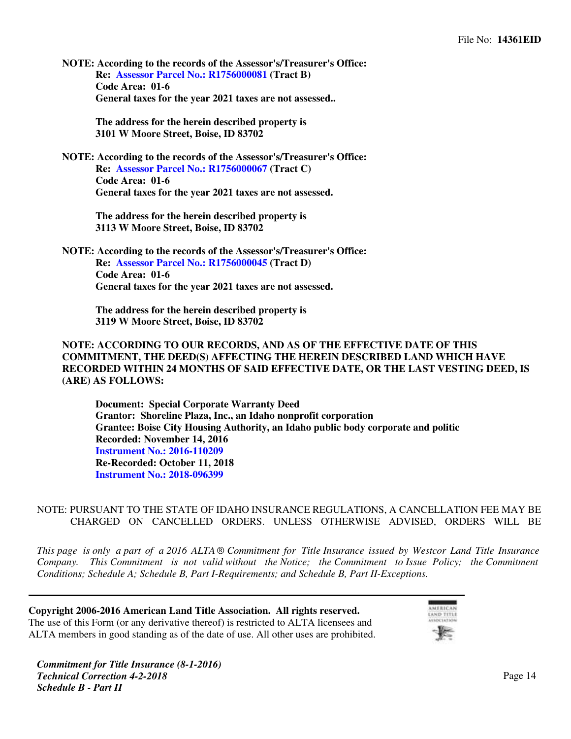**NOTE: According to the records of the Assessor's/Treasurer's Office: Re: [Assessor Parcel No.: R1756000081](https://www.4tier.com/storagerepositorydownload?id=eyJLZXkiOiJBUUlEQUhqMk1qQ0tnd3RwMjFDOWZHZDBPbHZqeEJlOFdlWUx0K2U3aVBHNXJ3dWdmQUZuM0JJUkFoSTNsaDBWdzJ3UkN5a0pBQUFBZmpCOEJna3Foa2lHOXcwQkJ3YWdiekJ0QWdFQU1HZ0dDU3FHU0liM0RRRUhBVEFlQmdsZ2hrZ0JaUU1FQVM0d0VRUU1TWlR3dUZyYXlwby9JWjMvQWdFUWdEdVVNNDI4RWh1aDBvYmo0ajNqeUhweWoxeVl3eXQxb0lRU052M0w5WURHVTM3czltZE4xUG1XckprMnhpTFdPQzhySzVvTWc2YWZ1aU44OUE9PSIsIkRhdGEiOiI0Z1BRaUgzRVdtWW5Yd2psclRnQVhYYXFOcmZkdWlzdGpJRURwMWk1VHh0RmNROTJYbHgzTGNIYnFHWmw4bldMYjMzR3hnK0RsVkdDbXVhWGw5Yko0Zz09In0=) (Tract B) Code Area: 01-6 General taxes for the year 2021 taxes are not assessed..**

> **The address for the herein described property is 3101 W Moore Street, Boise, ID 83702**

**NOTE: According to the records of the Assessor's/Treasurer's Office: Re: [Assessor Parcel No.: R1756000067](https://www.4tier.com/storagerepositorydownload?id=eyJLZXkiOiJBUUlEQUhqMk1qQ0tnd3RwMjFDOWZHZDBPbHZqeEJlOFdlWUx0K2U3aVBHNXJ3dWdmQUUwYnRoYmIvakpuZHB4RzVJRngyNkFBQUFBZmpCOEJna3Foa2lHOXcwQkJ3YWdiekJ0QWdFQU1HZ0dDU3FHU0liM0RRRUhBVEFlQmdsZ2hrZ0JaUU1FQVM0d0VRUU01aW9ScjFZYnNmZ3gzbVJIQWdFUWdEdWw3RVc5WndqQVA0T2dhTXRPUFZUZ081Q0VpNG9CY0haQThrdDVhR2lSc2p4UTdIU0h5RDFlaVR2RzhvOHIzZjZ3NmxHSFBXWGhhamJFRnc9PSIsIkRhdGEiOiJtVllOZWtSWlQ4djVzZHZpU1J6UkU4ZEUrK2ZQa080Zml3dmM5WEMwYTFOWUUxOG94UXREb2dVczVZVUdoOVJGQmVHb2RYbzlGdFZkM0hZV29panBuUT09In0=) (Tract C) Code Area: 01-6 General taxes for the year 2021 taxes are not assessed.**

> **The address for the herein described property is 3113 W Moore Street, Boise, ID 83702**

**NOTE: According to the records of the Assessor's/Treasurer's Office: Re: [Assessor Parcel No.: R1756000045](https://www.4tier.com/storagerepositorydownload?id=eyJLZXkiOiJBUUlEQUhqMk1qQ0tnd3RwMjFDOWZHZDBPbHZqeEJlOFdlWUx0K2U3aVBHNXJ3dWdmQUVUV2k4RHUvU3RyRnROM1AwN0Z0SGFBQUFBZmpCOEJna3Foa2lHOXcwQkJ3YWdiekJ0QWdFQU1HZ0dDU3FHU0liM0RRRUhBVEFlQmdsZ2hrZ0JaUU1FQVM0d0VRUU13UXRZR2ZuT1I3WFhsb0xkQWdFUWdEc1crWkNBWjdQMmxCTXJRczdEcGpmT1dOTEdHZGZkcVhseGcyY1J4Y0p2Y1Q1R1NPeWxpY2YxYUhjd3dNbkhMK3c1MDZaNG5GdjlUQUJFL0E9PSIsIkRhdGEiOiJEY21DWGI4ay9YdTZGbGZ6bWY5Z09acGx2SnNrMWJOdjBCOE9ZSmFIUE5hSDlzQW1pUTNRZXlKazJ2NmRJYko3dFEwSDlOQzE3Smp6b2ttS2tIWC8xZz09In0=) (Tract D) Code Area: 01-6 General taxes for the year 2021 taxes are not assessed.**

> **The address for the herein described property is 3119 W Moore Street, Boise, ID 83702**

### **NOTE: ACCORDING TO OUR RECORDS, AND AS OF THE EFFECTIVE DATE OF THIS COMMITMENT, THE DEED(S) AFFECTING THE HEREIN DESCRIBED LAND WHICH HAVE RECORDED WITHIN 24 MONTHS OF SAID EFFECTIVE DATE, OR THE LAST VESTING DEED, IS (ARE) AS FOLLOWS:**

**Document: Special Corporate Warranty Deed Grantor: Shoreline Plaza, Inc., an Idaho nonprofit corporation Grantee: Boise City Housing Authority, an Idaho public body corporate and politic Recorded: November 14, 2016 [Instrument No.: 2016-110209](https://www.4tier.com/storagerepositorydownload?id=eyJLZXkiOiJBUUlEQUhqMk1qQ0tnd3RwMjFDOWZHZDBPbHZqeEJlOFdlWUx0K2U3aVBHNXJ3dWdmQUdPOWN6eGdGeDQwK2FBbEFsTnBSM1RBQUFBZmpCOEJna3Foa2lHOXcwQkJ3YWdiekJ0QWdFQU1HZ0dDU3FHU0liM0RRRUhBVEFlQmdsZ2hrZ0JaUU1FQVM0d0VRUU1qNDQ5ekc4NkJ5NlFGaUkzQWdFUWdEczNiTFp0UkRvS09qNG45VmErY3dzclRTVVhlR0Vvb3lBbzVSb3NzZi9FZWVnYzRRdE85K3BQYjFkNnhNeEFpSGJWUVhlZzJOSW50YUxwL3c9PSIsIkRhdGEiOiIwam5rN1FlT3htWlRlRjRRdFJocGsxOTBzOWVXVFhibXoybEVjcmE0SE56cDNPRXIxbDhNMlRXZ0MyTWNqM1laSDZtSWZxRFZNV3NjcGd3OFJEelpGQT09In0=) Re-Recorded: October 11, 2018 [Instrument No.: 2018-096399](https://www.4tier.com/storagerepositorydownload?id=eyJLZXkiOiJBUUlEQUhqMk1qQ0tnd3RwMjFDOWZHZDBPbHZqeEJlOFdlWUx0K2U3aVBHNXJ3dWdmQUVxME8vWjAyVlRQM1dmNSsxbG9nT0JBQUFBZmpCOEJna3Foa2lHOXcwQkJ3YWdiekJ0QWdFQU1HZ0dDU3FHU0liM0RRRUhBVEFlQmdsZ2hrZ0JaUU1FQVM0d0VRUU1vY2JNampKdzVQRjR3VGZnQWdFUWdEdXF1NTdEQW1ZNVNqNG1IOC83Qi9VNi92cWNYWFUxMkM1NGFOUkF5OHZzdEk4cmhSQ3BOUXZjUnRXRGdyak1vWm50bHQ3R1RxbFV2eXc2ZVE9PSIsIkRhdGEiOiJLaklZZDJBMjlHVUtSRUcwb1JxeUtmMUs1VFdUTWxrNWNkc25icHo1azBpZC82MS9nWUtqTnpGcHBNTzFDckh6M094aktNVzVRYUh0RW1nVyt0cUFUZz09In0=)**

### NOTE: PURSUANT TO THE STATE OF IDAHO INSURANCE REGULATIONS, A CANCELLATION FEE MAY BE CHARGED ON CANCELLED ORDERS. UNLESS OTHERWISE ADVISED, ORDERS WILL BE

*This page is only a part of a 2016 ALTA ® Commitment for Title Insurance issued by Westcor Land Title Insurance Company. This Commitment is not valid without the Notice; the Commitment to Issue Policy; the Commitment Conditions; Schedule A; Schedule B, Part I-Requirements; and Schedule B, Part II-Exceptions.*

**Copyright 2006-2016 American Land Title Association. All rights reserved.** The use of this Form (or any derivative thereof) is restricted to ALTA licensees and ALTA members in good standing as of the date of use. All other uses are prohibited.

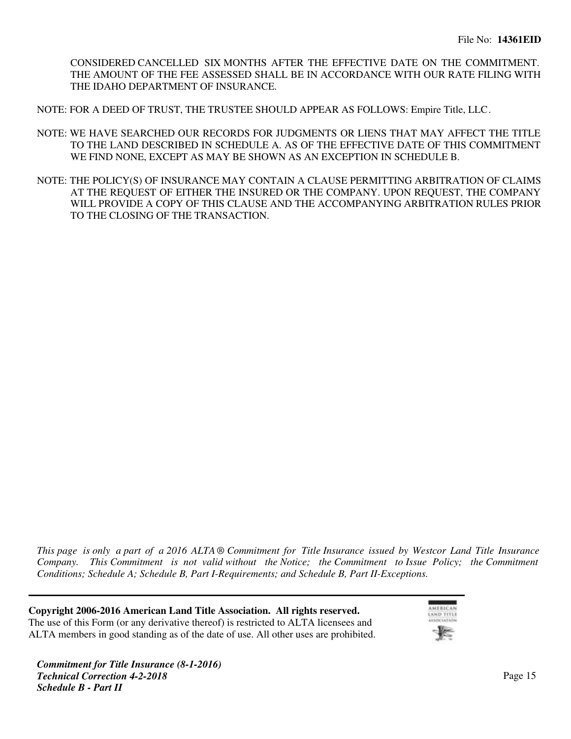CONSIDERED CANCELLED SIX MONTHS AFTER THE EFFECTIVE DATE ON THE COMMITMENT. THE AMOUNT OF THE FEE ASSESSED SHALL BE IN ACCORDANCE WITH OUR RATE FILING WITH THE IDAHO DEPARTMENT OF INSURANCE.

NOTE: FOR A DEED OF TRUST, THE TRUSTEE SHOULD APPEAR AS FOLLOWS: Empire Title, LLC.

- NOTE: WE HAVE SEARCHED OUR RECORDS FOR JUDGMENTS OR LIENS THAT MAY AFFECT THE TITLE TO THE LAND DESCRIBED IN SCHEDULE A. AS OF THE EFFECTIVE DATE OF THIS COMMITMENT WE FIND NONE, EXCEPT AS MAY BE SHOWN AS AN EXCEPTION IN SCHEDULE B.
- NOTE: THE POLICY(S) OF INSURANCE MAY CONTAIN A CLAUSE PERMITTING ARBITRATION OF CLAIMS AT THE REQUEST OF EITHER THE INSURED OR THE COMPANY. UPON REQUEST, THE COMPANY WILL PROVIDE A COPY OF THIS CLAUSE AND THE ACCOMPANYING ARBITRATION RULES PRIOR TO THE CLOSING OF THE TRANSACTION.

*This page is only a part of a 2016 ALTA ® Commitment for Title Insurance issued by Westcor Land Title Insurance Company. This Commitment is not valid without the Notice; the Commitment to Issue Policy; the Commitment Conditions; Schedule A; Schedule B, Part I-Requirements; and Schedule B, Part II-Exceptions.*

**Copyright 2006-2016 American Land Title Association. All rights reserved.** The use of this Form (or any derivative thereof) is restricted to ALTA licensees and ALTA members in good standing as of the date of use. All other uses are prohibited.

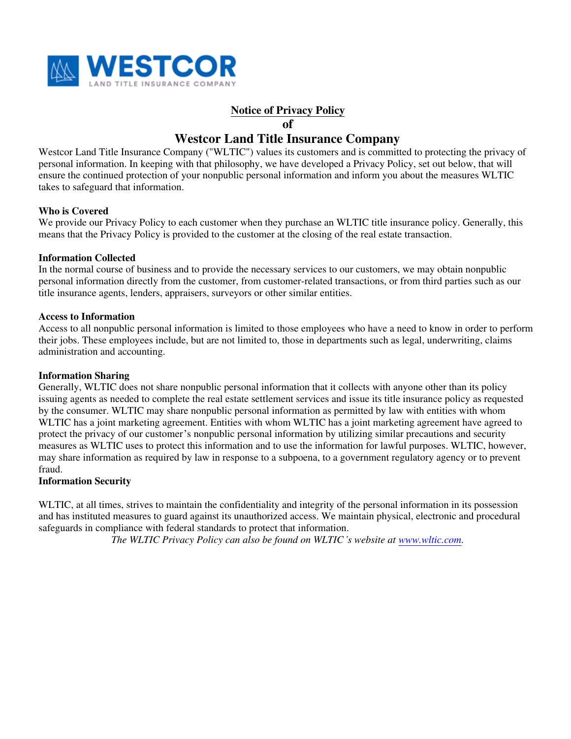

## **Notice of Privacy Policy**

**of**

# **Westcor Land Title Insurance Company**

Westcor Land Title Insurance Company ("WLTIC") values its customers and is committed to protecting the privacy of personal information. In keeping with that philosophy, we have developed a Privacy Policy, set out below, that will ensure the continued protection of your nonpublic personal information and inform you about the measures WLTIC takes to safeguard that information.

### **Who is Covered**

We provide our Privacy Policy to each customer when they purchase an WLTIC title insurance policy. Generally, this means that the Privacy Policy is provided to the customer at the closing of the real estate transaction.

### **Information Collected**

In the normal course of business and to provide the necessary services to our customers, we may obtain nonpublic personal information directly from the customer, from customer-related transactions, or from third parties such as our title insurance agents, lenders, appraisers, surveyors or other similar entities.

### **Access to Information**

Access to all nonpublic personal information is limited to those employees who have a need to know in order to perform their jobs. These employees include, but are not limited to, those in departments such as legal, underwriting, claims administration and accounting.

### **Information Sharing**

Generally, WLTIC does not share nonpublic personal information that it collects with anyone other than its policy issuing agents as needed to complete the real estate settlement services and issue its title insurance policy as requested by the consumer. WLTIC may share nonpublic personal information as permitted by law with entities with whom WLTIC has a joint marketing agreement. Entities with whom WLTIC has a joint marketing agreement have agreed to protect the privacy of our customer's nonpublic personal information by utilizing similar precautions and security measures as WLTIC uses to protect this information and to use the information for lawful purposes. WLTIC, however, may share information as required by law in response to a subpoena, to a government regulatory agency or to prevent fraud.

### **Information Security**

WLTIC, at all times, strives to maintain the confidentiality and integrity of the personal information in its possession and has instituted measures to guard against its unauthorized access. We maintain physical, electronic and procedural safeguards in compliance with federal standards to protect that information.

*The WLTIC Privacy Policy can also be found on WLTIC's website at [www.wltic.com](http://www.wltic.com).*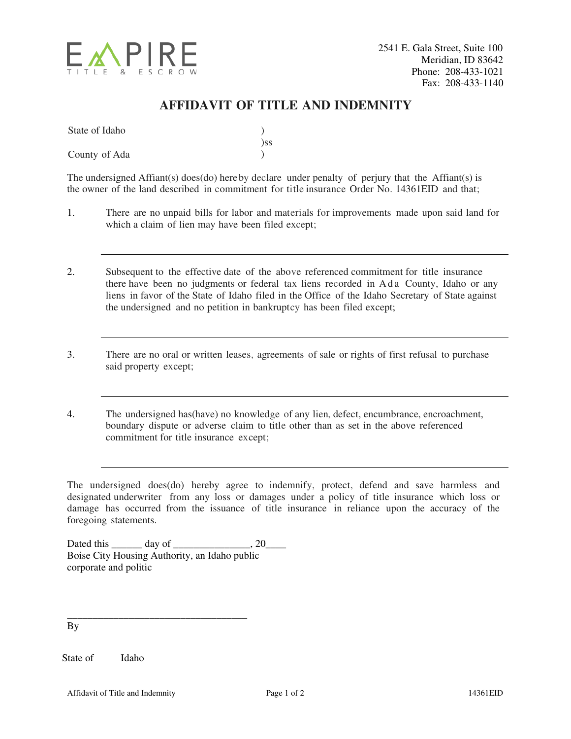

# **AFFIDAVIT OF TITLE AND INDEMNITY**

| State of Idaho |     |
|----------------|-----|
|                | )ss |
| County of Ada  |     |

The undersigned Affiant(s) does(do) hereby declare under penalty of perjury that the Affiant(s) is the owner of the land described in commitment for title insurance Order No. 14361EID and that;

- 1. There are no unpaid bills for labor and materials for improvements made upon said land for which a claim of lien may have been filed except;
- 2. Subsequent to the effective date of the above referenced commitment for title insurance there have been no judgments or federal tax liens recorded in A d a County, Idaho or any liens in favor of the State of Idaho filed in the Office of the Idaho Secretary of State against the undersigned and no petition in bankruptcy has been filed except;
- 3. There are no oral or written leases, agreements of sale or rights of first refusal to purchase said property except;
- 4. The undersigned has(have) no knowledge of any lien, defect, encumbrance, encroachment, boundary dispute or adverse claim to title other than as set in the above referenced commitment for title insurance except;

The undersigned does(do) hereby agree to indemnify, protect, defend and save harmless and designated underwriter from any loss or damages under a policy of title insurance which loss or damage has occurred from the issuance of title insurance in reliance upon the accuracy of the foregoing statements.

Dated this day of 20 Boise City Housing Authority, an Idaho public corporate and politic

\_\_\_\_\_\_\_\_\_\_\_\_\_\_\_\_\_\_\_\_\_\_\_\_\_\_\_\_\_\_\_\_\_\_\_

By

State of Idaho